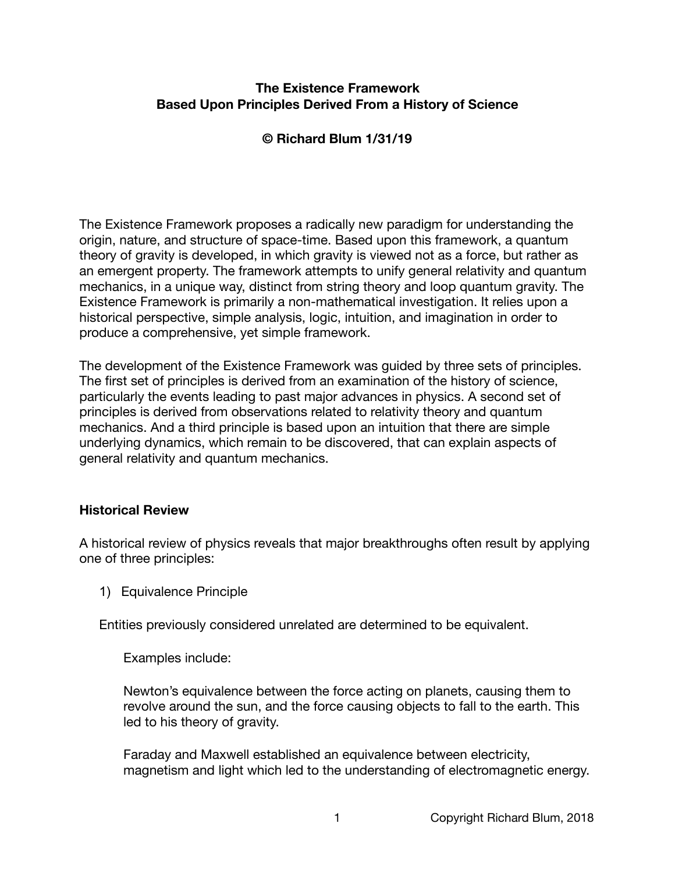## **The Existence Framework Based Upon Principles Derived From a History of Science**

# **© Richard Blum 1/31/19**

The Existence Framework proposes a radically new paradigm for understanding the origin, nature, and structure of space-time. Based upon this framework, a quantum theory of gravity is developed, in which gravity is viewed not as a force, but rather as an emergent property. The framework attempts to unify general relativity and quantum mechanics, in a unique way, distinct from string theory and loop quantum gravity. The Existence Framework is primarily a non-mathematical investigation. It relies upon a historical perspective, simple analysis, logic, intuition, and imagination in order to produce a comprehensive, yet simple framework.

The development of the Existence Framework was guided by three sets of principles. The first set of principles is derived from an examination of the history of science, particularly the events leading to past major advances in physics. A second set of principles is derived from observations related to relativity theory and quantum mechanics. And a third principle is based upon an intuition that there are simple underlying dynamics, which remain to be discovered, that can explain aspects of general relativity and quantum mechanics.

#### **Historical Review**

A historical review of physics reveals that major breakthroughs often result by applying one of three principles:

1) Equivalence Principle

Entities previously considered unrelated are determined to be equivalent.

Examples include:

Newton's equivalence between the force acting on planets, causing them to revolve around the sun, and the force causing objects to fall to the earth. This led to his theory of gravity.

Faraday and Maxwell established an equivalence between electricity, magnetism and light which led to the understanding of electromagnetic energy.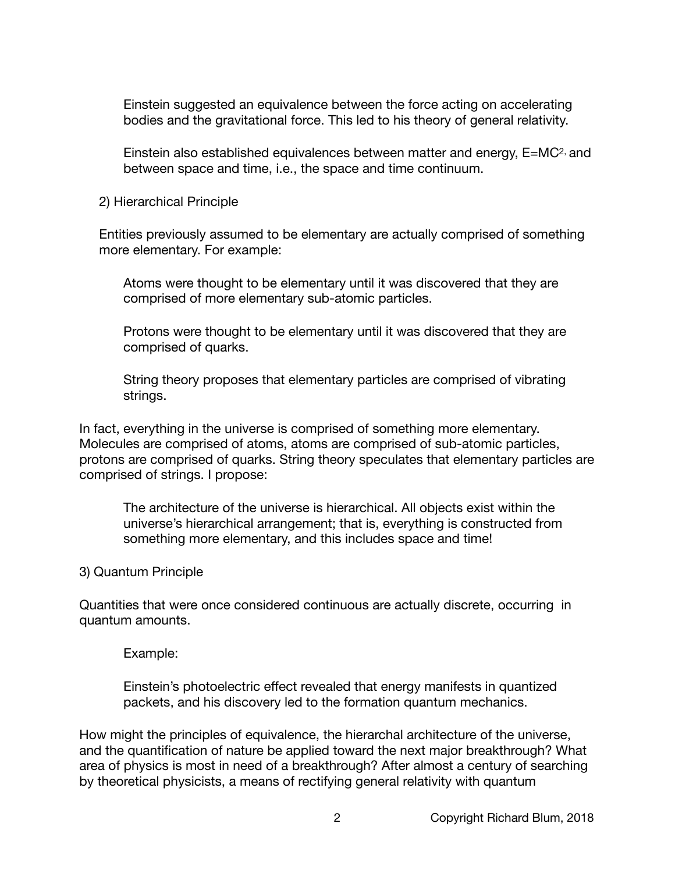Einstein suggested an equivalence between the force acting on accelerating bodies and the gravitational force. This led to his theory of general relativity.

Einstein also established equivalences between matter and energy, E=MC2, and between space and time, i.e., the space and time continuum.

2) Hierarchical Principle

Entities previously assumed to be elementary are actually comprised of something more elementary. For example:

Atoms were thought to be elementary until it was discovered that they are comprised of more elementary sub-atomic particles.

Protons were thought to be elementary until it was discovered that they are comprised of quarks.

String theory proposes that elementary particles are comprised of vibrating strings.

In fact, everything in the universe is comprised of something more elementary. Molecules are comprised of atoms, atoms are comprised of sub-atomic particles, protons are comprised of quarks. String theory speculates that elementary particles are comprised of strings. I propose:

The architecture of the universe is hierarchical. All objects exist within the universe's hierarchical arrangement; that is, everything is constructed from something more elementary, and this includes space and time!

#### 3) Quantum Principle

Quantities that were once considered continuous are actually discrete, occurring in quantum amounts.

Example:

Einstein's photoelectric effect revealed that energy manifests in quantized packets, and his discovery led to the formation quantum mechanics.

How might the principles of equivalence, the hierarchal architecture of the universe, and the quantification of nature be applied toward the next major breakthrough? What area of physics is most in need of a breakthrough? After almost a century of searching by theoretical physicists, a means of rectifying general relativity with quantum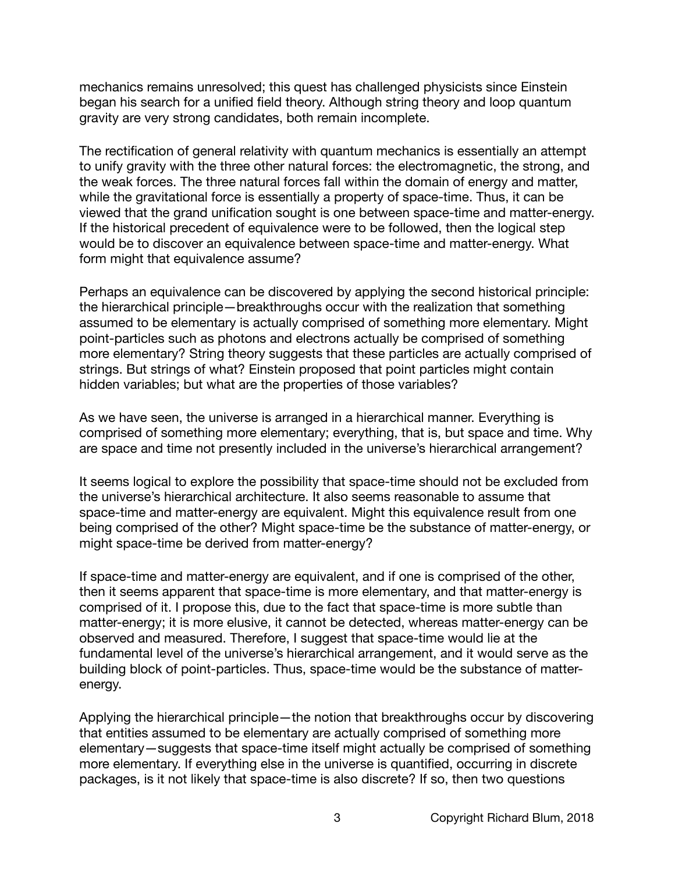mechanics remains unresolved; this quest has challenged physicists since Einstein began his search for a unified field theory. Although string theory and loop quantum gravity are very strong candidates, both remain incomplete.

The rectification of general relativity with quantum mechanics is essentially an attempt to unify gravity with the three other natural forces: the electromagnetic, the strong, and the weak forces. The three natural forces fall within the domain of energy and matter, while the gravitational force is essentially a property of space-time. Thus, it can be viewed that the grand unification sought is one between space-time and matter-energy. If the historical precedent of equivalence were to be followed, then the logical step would be to discover an equivalence between space-time and matter-energy. What form might that equivalence assume?

Perhaps an equivalence can be discovered by applying the second historical principle: the hierarchical principle—breakthroughs occur with the realization that something assumed to be elementary is actually comprised of something more elementary. Might point-particles such as photons and electrons actually be comprised of something more elementary? String theory suggests that these particles are actually comprised of strings. But strings of what? Einstein proposed that point particles might contain hidden variables; but what are the properties of those variables?

As we have seen, the universe is arranged in a hierarchical manner. Everything is comprised of something more elementary; everything, that is, but space and time. Why are space and time not presently included in the universe's hierarchical arrangement?

It seems logical to explore the possibility that space-time should not be excluded from the universe's hierarchical architecture. It also seems reasonable to assume that space-time and matter-energy are equivalent. Might this equivalence result from one being comprised of the other? Might space-time be the substance of matter-energy, or might space-time be derived from matter-energy?

If space-time and matter-energy are equivalent, and if one is comprised of the other, then it seems apparent that space-time is more elementary, and that matter-energy is comprised of it. I propose this, due to the fact that space-time is more subtle than matter-energy; it is more elusive, it cannot be detected, whereas matter-energy can be observed and measured. Therefore, I suggest that space-time would lie at the fundamental level of the universe's hierarchical arrangement, and it would serve as the building block of point-particles. Thus, space-time would be the substance of matterenergy.

Applying the hierarchical principle—the notion that breakthroughs occur by discovering that entities assumed to be elementary are actually comprised of something more elementary—suggests that space-time itself might actually be comprised of something more elementary. If everything else in the universe is quantified, occurring in discrete packages, is it not likely that space-time is also discrete? If so, then two questions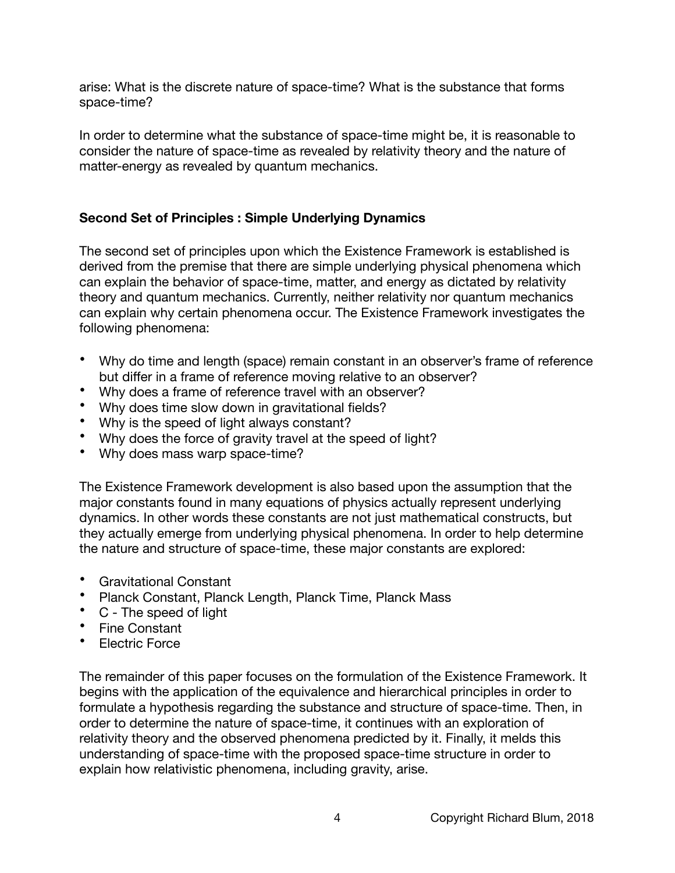arise: What is the discrete nature of space-time? What is the substance that forms space-time?

In order to determine what the substance of space-time might be, it is reasonable to consider the nature of space-time as revealed by relativity theory and the nature of matter-energy as revealed by quantum mechanics.

# **Second Set of Principles : Simple Underlying Dynamics**

The second set of principles upon which the Existence Framework is established is derived from the premise that there are simple underlying physical phenomena which can explain the behavior of space-time, matter, and energy as dictated by relativity theory and quantum mechanics. Currently, neither relativity nor quantum mechanics can explain why certain phenomena occur. The Existence Framework investigates the following phenomena:

- Why do time and length (space) remain constant in an observer's frame of reference but differ in a frame of reference moving relative to an observer?
- Why does a frame of reference travel with an observer?
- Why does time slow down in gravitational fields?
- Why is the speed of light always constant?
- Why does the force of gravity travel at the speed of light?
- Why does mass warp space-time?

The Existence Framework development is also based upon the assumption that the major constants found in many equations of physics actually represent underlying dynamics. In other words these constants are not just mathematical constructs, but they actually emerge from underlying physical phenomena. In order to help determine the nature and structure of space-time, these major constants are explored:

- Gravitational Constant
- Planck Constant, Planck Length, Planck Time, Planck Mass
- C The speed of light
- Fine Constant
- Electric Force

The remainder of this paper focuses on the formulation of the Existence Framework. It begins with the application of the equivalence and hierarchical principles in order to formulate a hypothesis regarding the substance and structure of space-time. Then, in order to determine the nature of space-time, it continues with an exploration of relativity theory and the observed phenomena predicted by it. Finally, it melds this understanding of space-time with the proposed space-time structure in order to explain how relativistic phenomena, including gravity, arise.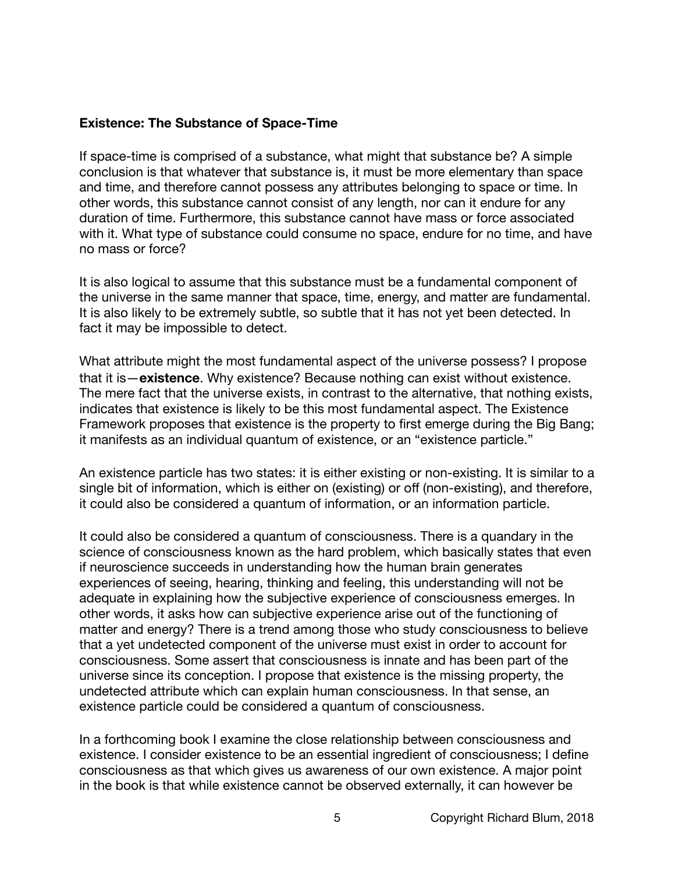## **Existence: The Substance of Space-Time**

If space-time is comprised of a substance, what might that substance be? A simple conclusion is that whatever that substance is, it must be more elementary than space and time, and therefore cannot possess any attributes belonging to space or time. In other words, this substance cannot consist of any length, nor can it endure for any duration of time. Furthermore, this substance cannot have mass or force associated with it. What type of substance could consume no space, endure for no time, and have no mass or force?

It is also logical to assume that this substance must be a fundamental component of the universe in the same manner that space, time, energy, and matter are fundamental. It is also likely to be extremely subtle, so subtle that it has not yet been detected. In fact it may be impossible to detect.

What attribute might the most fundamental aspect of the universe possess? I propose that it is—**existence**. Why existence? Because nothing can exist without existence. The mere fact that the universe exists, in contrast to the alternative, that nothing exists, indicates that existence is likely to be this most fundamental aspect. The Existence Framework proposes that existence is the property to first emerge during the Big Bang; it manifests as an individual quantum of existence, or an "existence particle."

An existence particle has two states: it is either existing or non-existing. It is similar to a single bit of information, which is either on (existing) or off (non-existing), and therefore, it could also be considered a quantum of information, or an information particle.

It could also be considered a quantum of consciousness. There is a quandary in the science of consciousness known as the hard problem, which basically states that even if neuroscience succeeds in understanding how the human brain generates experiences of seeing, hearing, thinking and feeling, this understanding will not be adequate in explaining how the subjective experience of consciousness emerges. In other words, it asks how can subjective experience arise out of the functioning of matter and energy? There is a trend among those who study consciousness to believe that a yet undetected component of the universe must exist in order to account for consciousness. Some assert that consciousness is innate and has been part of the universe since its conception. I propose that existence is the missing property, the undetected attribute which can explain human consciousness. In that sense, an existence particle could be considered a quantum of consciousness.

In a forthcoming book I examine the close relationship between consciousness and existence. I consider existence to be an essential ingredient of consciousness; I define consciousness as that which gives us awareness of our own existence. A major point in the book is that while existence cannot be observed externally, it can however be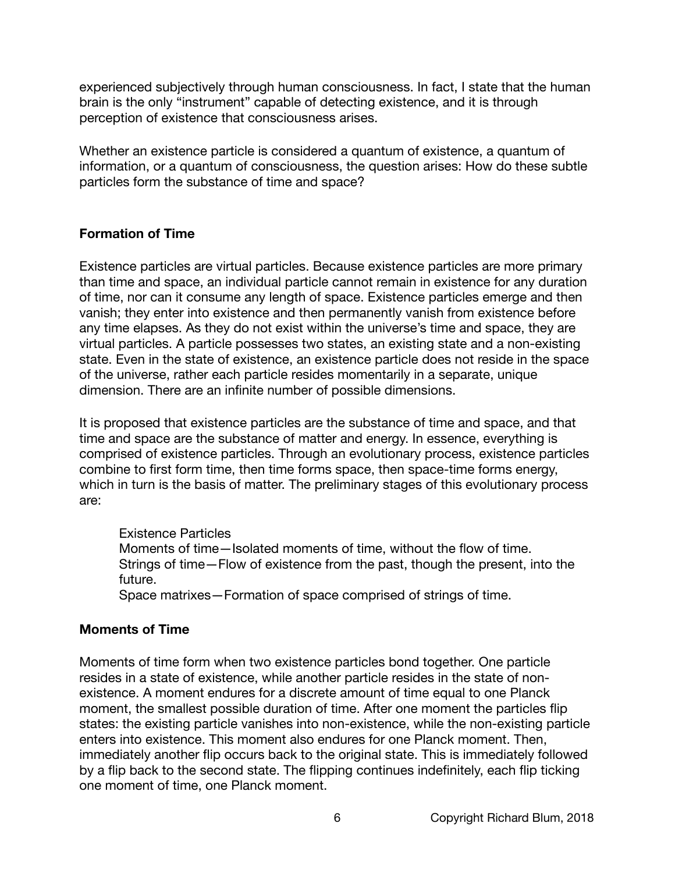experienced subjectively through human consciousness. In fact, I state that the human brain is the only "instrument" capable of detecting existence, and it is through perception of existence that consciousness arises.

Whether an existence particle is considered a quantum of existence, a quantum of information, or a quantum of consciousness, the question arises: How do these subtle particles form the substance of time and space?

# **Formation of Time**

Existence particles are virtual particles. Because existence particles are more primary than time and space, an individual particle cannot remain in existence for any duration of time, nor can it consume any length of space. Existence particles emerge and then vanish; they enter into existence and then permanently vanish from existence before any time elapses. As they do not exist within the universe's time and space, they are virtual particles. A particle possesses two states, an existing state and a non-existing state. Even in the state of existence, an existence particle does not reside in the space of the universe, rather each particle resides momentarily in a separate, unique dimension. There are an infinite number of possible dimensions.

It is proposed that existence particles are the substance of time and space, and that time and space are the substance of matter and energy. In essence, everything is comprised of existence particles. Through an evolutionary process, existence particles combine to first form time, then time forms space, then space-time forms energy, which in turn is the basis of matter. The preliminary stages of this evolutionary process are:

Existence Particles Moments of time—Isolated moments of time, without the flow of time. Strings of time—Flow of existence from the past, though the present, into the future. Space matrixes—Formation of space comprised of strings of time.

#### **Moments of Time**

Moments of time form when two existence particles bond together. One particle resides in a state of existence, while another particle resides in the state of nonexistence. A moment endures for a discrete amount of time equal to one Planck moment, the smallest possible duration of time. After one moment the particles flip states: the existing particle vanishes into non-existence, while the non-existing particle enters into existence. This moment also endures for one Planck moment. Then, immediately another flip occurs back to the original state. This is immediately followed by a flip back to the second state. The flipping continues indefinitely, each flip ticking one moment of time, one Planck moment.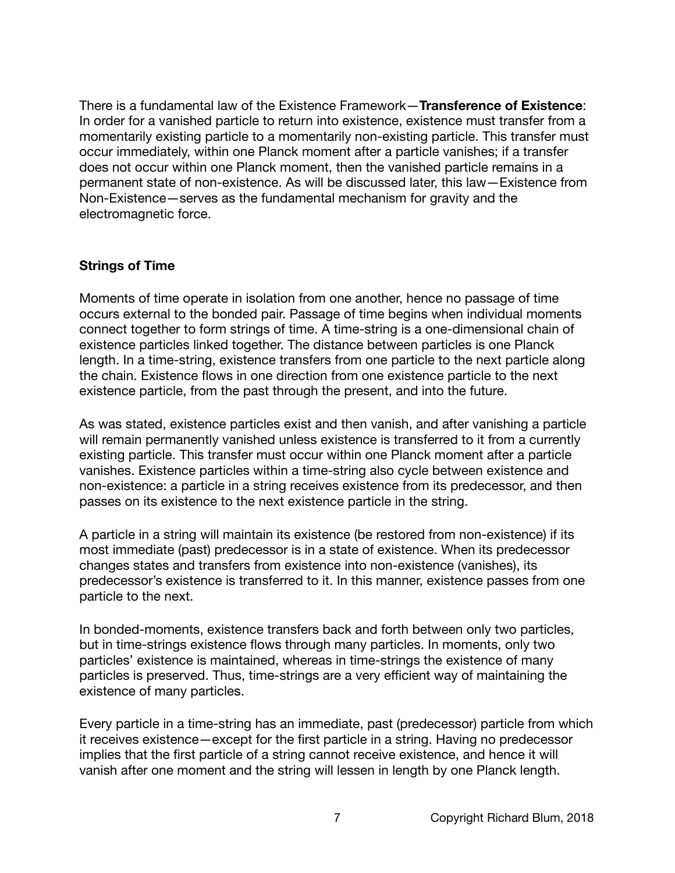There is a fundamental law of the Existence Framework—**Transference of Existence**: In order for a vanished particle to return into existence, existence must transfer from a momentarily existing particle to a momentarily non-existing particle. This transfer must occur immediately, within one Planck moment after a particle vanishes; if a transfer does not occur within one Planck moment, then the vanished particle remains in a permanent state of non-existence. As will be discussed later, this law—Existence from Non-Existence—serves as the fundamental mechanism for gravity and the electromagnetic force.

#### **Strings of Time**

Moments of time operate in isolation from one another, hence no passage of time occurs external to the bonded pair. Passage of time begins when individual moments connect together to form strings of time. A time-string is a one-dimensional chain of existence particles linked together. The distance between particles is one Planck length. In a time-string, existence transfers from one particle to the next particle along the chain. Existence flows in one direction from one existence particle to the next existence particle, from the past through the present, and into the future.

As was stated, existence particles exist and then vanish, and after vanishing a particle will remain permanently vanished unless existence is transferred to it from a currently existing particle. This transfer must occur within one Planck moment after a particle vanishes. Existence particles within a time-string also cycle between existence and non-existence: a particle in a string receives existence from its predecessor, and then passes on its existence to the next existence particle in the string.

A particle in a string will maintain its existence (be restored from non-existence) if its most immediate (past) predecessor is in a state of existence. When its predecessor changes states and transfers from existence into non-existence (vanishes), its predecessor's existence is transferred to it. In this manner, existence passes from one particle to the next.

In bonded-moments, existence transfers back and forth between only two particles, but in time-strings existence flows through many particles. In moments, only two particles' existence is maintained, whereas in time-strings the existence of many particles is preserved. Thus, time-strings are a very efficient way of maintaining the existence of many particles.

Every particle in a time-string has an immediate, past (predecessor) particle from which it receives existence—except for the first particle in a string. Having no predecessor implies that the first particle of a string cannot receive existence, and hence it will vanish after one moment and the string will lessen in length by one Planck length.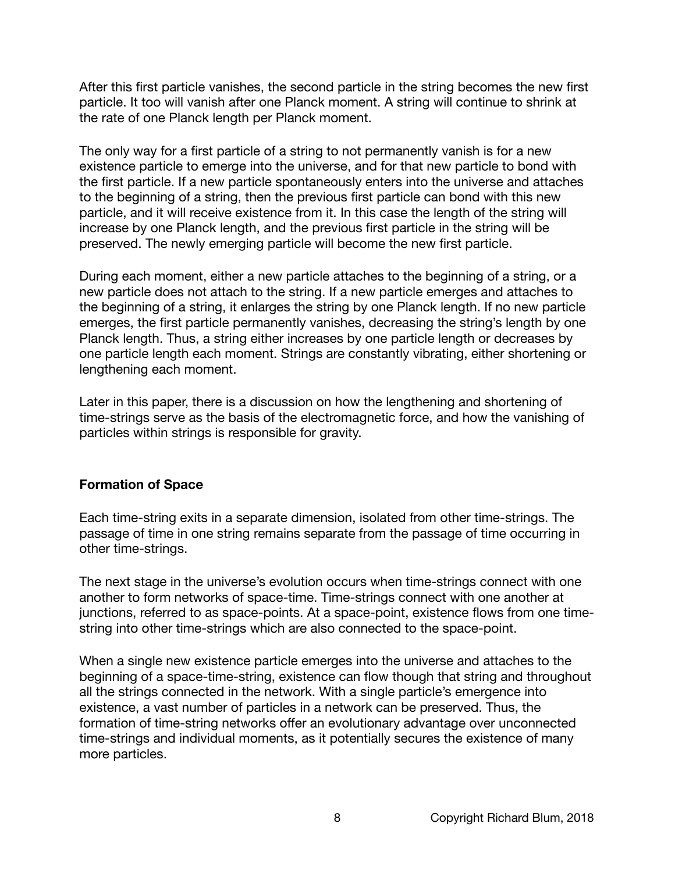After this first particle vanishes, the second particle in the string becomes the new first particle. It too will vanish after one Planck moment. A string will continue to shrink at the rate of one Planck length per Planck moment.

The only way for a first particle of a string to not permanently vanish is for a new existence particle to emerge into the universe, and for that new particle to bond with the first particle. If a new particle spontaneously enters into the universe and attaches to the beginning of a string, then the previous first particle can bond with this new particle, and it will receive existence from it. In this case the length of the string will increase by one Planck length, and the previous first particle in the string will be preserved. The newly emerging particle will become the new first particle.

During each moment, either a new particle attaches to the beginning of a string, or a new particle does not attach to the string. If a new particle emerges and attaches to the beginning of a string, it enlarges the string by one Planck length. If no new particle emerges, the first particle permanently vanishes, decreasing the string's length by one Planck length. Thus, a string either increases by one particle length or decreases by one particle length each moment. Strings are constantly vibrating, either shortening or lengthening each moment.

Later in this paper, there is a discussion on how the lengthening and shortening of time-strings serve as the basis of the electromagnetic force, and how the vanishing of particles within strings is responsible for gravity.

#### **Formation of Space**

Each time-string exits in a separate dimension, isolated from other time-strings. The passage of time in one string remains separate from the passage of time occurring in other time-strings.

The next stage in the universe's evolution occurs when time-strings connect with one another to form networks of space-time. Time-strings connect with one another at junctions, referred to as space-points. At a space-point, existence flows from one timestring into other time-strings which are also connected to the space-point.

When a single new existence particle emerges into the universe and attaches to the beginning of a space-time-string, existence can flow though that string and throughout all the strings connected in the network. With a single particle's emergence into existence, a vast number of particles in a network can be preserved. Thus, the formation of time-string networks offer an evolutionary advantage over unconnected time-strings and individual moments, as it potentially secures the existence of many more particles.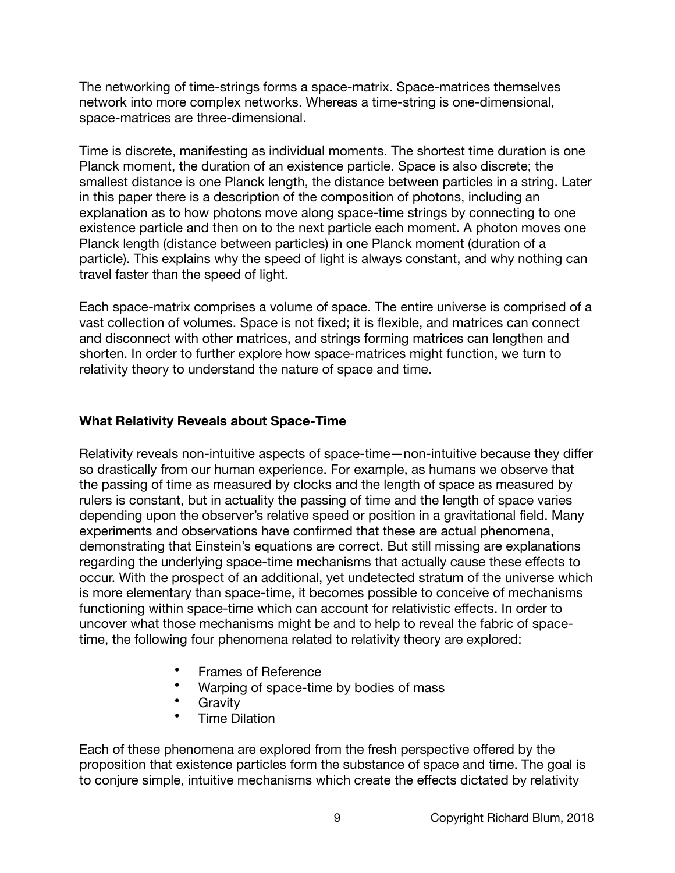The networking of time-strings forms a space-matrix. Space-matrices themselves network into more complex networks. Whereas a time-string is one-dimensional, space-matrices are three-dimensional.

Time is discrete, manifesting as individual moments. The shortest time duration is one Planck moment, the duration of an existence particle. Space is also discrete; the smallest distance is one Planck length, the distance between particles in a string. Later in this paper there is a description of the composition of photons, including an explanation as to how photons move along space-time strings by connecting to one existence particle and then on to the next particle each moment. A photon moves one Planck length (distance between particles) in one Planck moment (duration of a particle). This explains why the speed of light is always constant, and why nothing can travel faster than the speed of light.

Each space-matrix comprises a volume of space. The entire universe is comprised of a vast collection of volumes. Space is not fixed; it is flexible, and matrices can connect and disconnect with other matrices, and strings forming matrices can lengthen and shorten. In order to further explore how space-matrices might function, we turn to relativity theory to understand the nature of space and time.

## **What Relativity Reveals about Space-Time**

Relativity reveals non-intuitive aspects of space-time—non-intuitive because they differ so drastically from our human experience. For example, as humans we observe that the passing of time as measured by clocks and the length of space as measured by rulers is constant, but in actuality the passing of time and the length of space varies depending upon the observer's relative speed or position in a gravitational field. Many experiments and observations have confirmed that these are actual phenomena, demonstrating that Einstein's equations are correct. But still missing are explanations regarding the underlying space-time mechanisms that actually cause these effects to occur. With the prospect of an additional, yet undetected stratum of the universe which is more elementary than space-time, it becomes possible to conceive of mechanisms functioning within space-time which can account for relativistic effects. In order to uncover what those mechanisms might be and to help to reveal the fabric of spacetime, the following four phenomena related to relativity theory are explored:

- Frames of Reference
- Warping of space-time by bodies of mass
- Gravity
- Time Dilation

Each of these phenomena are explored from the fresh perspective offered by the proposition that existence particles form the substance of space and time. The goal is to conjure simple, intuitive mechanisms which create the effects dictated by relativity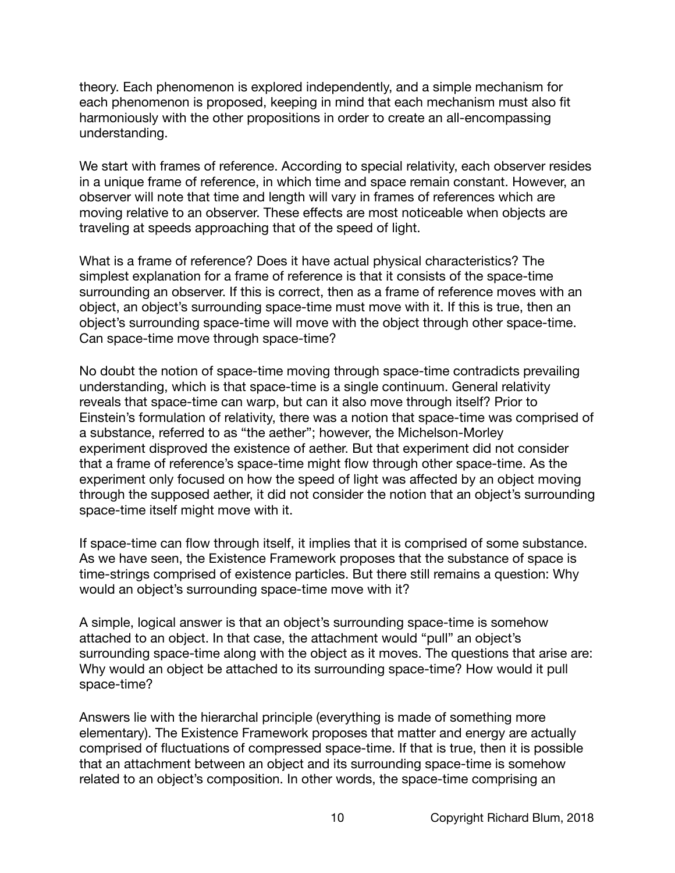theory. Each phenomenon is explored independently, and a simple mechanism for each phenomenon is proposed, keeping in mind that each mechanism must also fit harmoniously with the other propositions in order to create an all-encompassing understanding.

We start with frames of reference. According to special relativity, each observer resides in a unique frame of reference, in which time and space remain constant. However, an observer will note that time and length will vary in frames of references which are moving relative to an observer. These effects are most noticeable when objects are traveling at speeds approaching that of the speed of light.

What is a frame of reference? Does it have actual physical characteristics? The simplest explanation for a frame of reference is that it consists of the space-time surrounding an observer. If this is correct, then as a frame of reference moves with an object, an object's surrounding space-time must move with it. If this is true, then an object's surrounding space-time will move with the object through other space-time. Can space-time move through space-time?

No doubt the notion of space-time moving through space-time contradicts prevailing understanding, which is that space-time is a single continuum. General relativity reveals that space-time can warp, but can it also move through itself? Prior to Einstein's formulation of relativity, there was a notion that space-time was comprised of a substance, referred to as "the aether"; however, the Michelson-Morley experiment disproved the existence of aether. But that experiment did not consider that a frame of reference's space-time might flow through other space-time. As the experiment only focused on how the speed of light was affected by an object moving through the supposed aether, it did not consider the notion that an object's surrounding space-time itself might move with it.

If space-time can flow through itself, it implies that it is comprised of some substance. As we have seen, the Existence Framework proposes that the substance of space is time-strings comprised of existence particles. But there still remains a question: Why would an object's surrounding space-time move with it?

A simple, logical answer is that an object's surrounding space-time is somehow attached to an object. In that case, the attachment would "pull" an object's surrounding space-time along with the object as it moves. The questions that arise are: Why would an object be attached to its surrounding space-time? How would it pull space-time?

Answers lie with the hierarchal principle (everything is made of something more elementary). The Existence Framework proposes that matter and energy are actually comprised of fluctuations of compressed space-time. If that is true, then it is possible that an attachment between an object and its surrounding space-time is somehow related to an object's composition. In other words, the space-time comprising an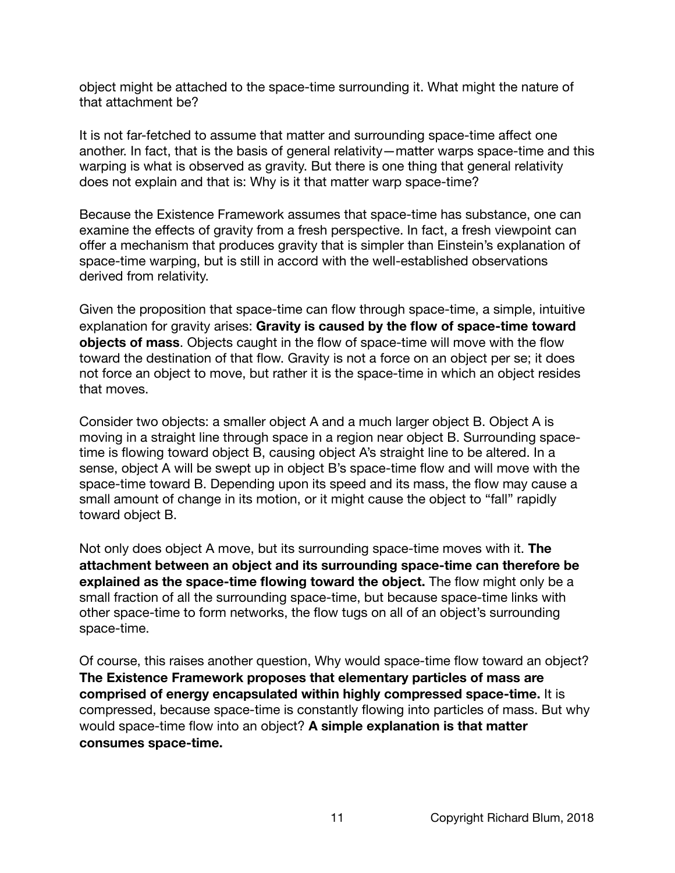object might be attached to the space-time surrounding it. What might the nature of that attachment be?

It is not far-fetched to assume that matter and surrounding space-time affect one another. In fact, that is the basis of general relativity—matter warps space-time and this warping is what is observed as gravity. But there is one thing that general relativity does not explain and that is: Why is it that matter warp space-time?

Because the Existence Framework assumes that space-time has substance, one can examine the effects of gravity from a fresh perspective. In fact, a fresh viewpoint can offer a mechanism that produces gravity that is simpler than Einstein's explanation of space-time warping, but is still in accord with the well-established observations derived from relativity.

Given the proposition that space-time can flow through space-time, a simple, intuitive explanation for gravity arises: **Gravity is caused by the flow of space-time toward objects of mass**. Objects caught in the flow of space-time will move with the flow toward the destination of that flow. Gravity is not a force on an object per se; it does not force an object to move, but rather it is the space-time in which an object resides that moves.

Consider two objects: a smaller object A and a much larger object B. Object A is moving in a straight line through space in a region near object B. Surrounding spacetime is flowing toward object B, causing object A's straight line to be altered. In a sense, object A will be swept up in object B's space-time flow and will move with the space-time toward B. Depending upon its speed and its mass, the flow may cause a small amount of change in its motion, or it might cause the object to "fall" rapidly toward object B.

Not only does object A move, but its surrounding space-time moves with it. **The attachment between an object and its surrounding space-time can therefore be explained as the space-time flowing toward the object.** The flow might only be a small fraction of all the surrounding space-time, but because space-time links with other space-time to form networks, the flow tugs on all of an object's surrounding space-time.

Of course, this raises another question, Why would space-time flow toward an object? **The Existence Framework proposes that elementary particles of mass are comprised of energy encapsulated within highly compressed space-time.** It is compressed, because space-time is constantly flowing into particles of mass. But why would space-time flow into an object? **A simple explanation is that matter consumes space-time.**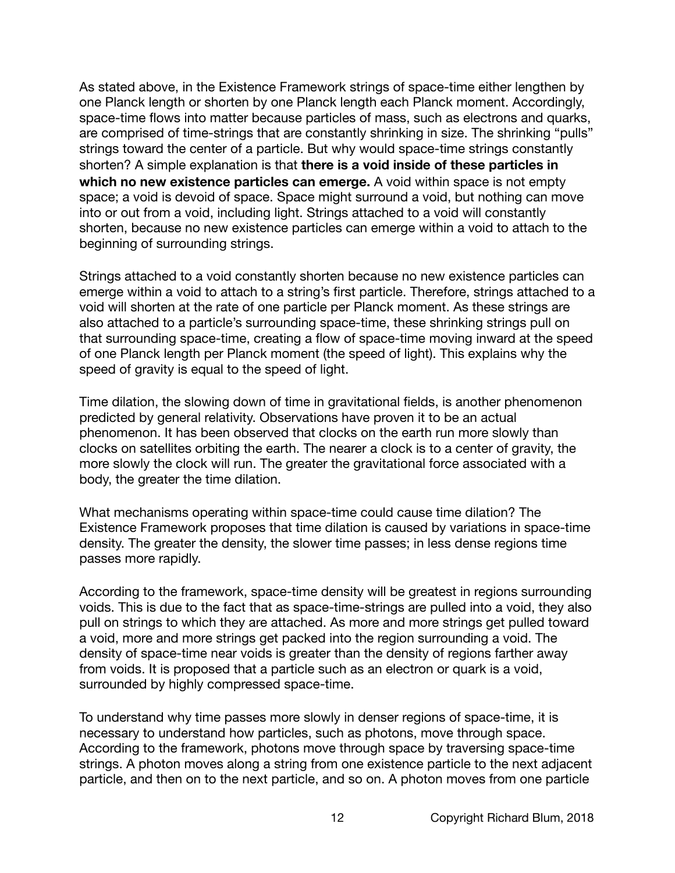As stated above, in the Existence Framework strings of space-time either lengthen by one Planck length or shorten by one Planck length each Planck moment. Accordingly, space-time flows into matter because particles of mass, such as electrons and quarks, are comprised of time-strings that are constantly shrinking in size. The shrinking "pulls" strings toward the center of a particle. But why would space-time strings constantly shorten? A simple explanation is that **there is a void inside of these particles in which no new existence particles can emerge.** A void within space is not empty space; a void is devoid of space. Space might surround a void, but nothing can move into or out from a void, including light. Strings attached to a void will constantly shorten, because no new existence particles can emerge within a void to attach to the beginning of surrounding strings.

Strings attached to a void constantly shorten because no new existence particles can emerge within a void to attach to a string's first particle. Therefore, strings attached to a void will shorten at the rate of one particle per Planck moment. As these strings are also attached to a particle's surrounding space-time, these shrinking strings pull on that surrounding space-time, creating a flow of space-time moving inward at the speed of one Planck length per Planck moment (the speed of light). This explains why the speed of gravity is equal to the speed of light.

Time dilation, the slowing down of time in gravitational fields, is another phenomenon predicted by general relativity. Observations have proven it to be an actual phenomenon. It has been observed that clocks on the earth run more slowly than clocks on satellites orbiting the earth. The nearer a clock is to a center of gravity, the more slowly the clock will run. The greater the gravitational force associated with a body, the greater the time dilation.

What mechanisms operating within space-time could cause time dilation? The Existence Framework proposes that time dilation is caused by variations in space-time density. The greater the density, the slower time passes; in less dense regions time passes more rapidly.

According to the framework, space-time density will be greatest in regions surrounding voids. This is due to the fact that as space-time-strings are pulled into a void, they also pull on strings to which they are attached. As more and more strings get pulled toward a void, more and more strings get packed into the region surrounding a void. The density of space-time near voids is greater than the density of regions farther away from voids. It is proposed that a particle such as an electron or quark is a void, surrounded by highly compressed space-time.

To understand why time passes more slowly in denser regions of space-time, it is necessary to understand how particles, such as photons, move through space. According to the framework, photons move through space by traversing space-time strings. A photon moves along a string from one existence particle to the next adjacent particle, and then on to the next particle, and so on. A photon moves from one particle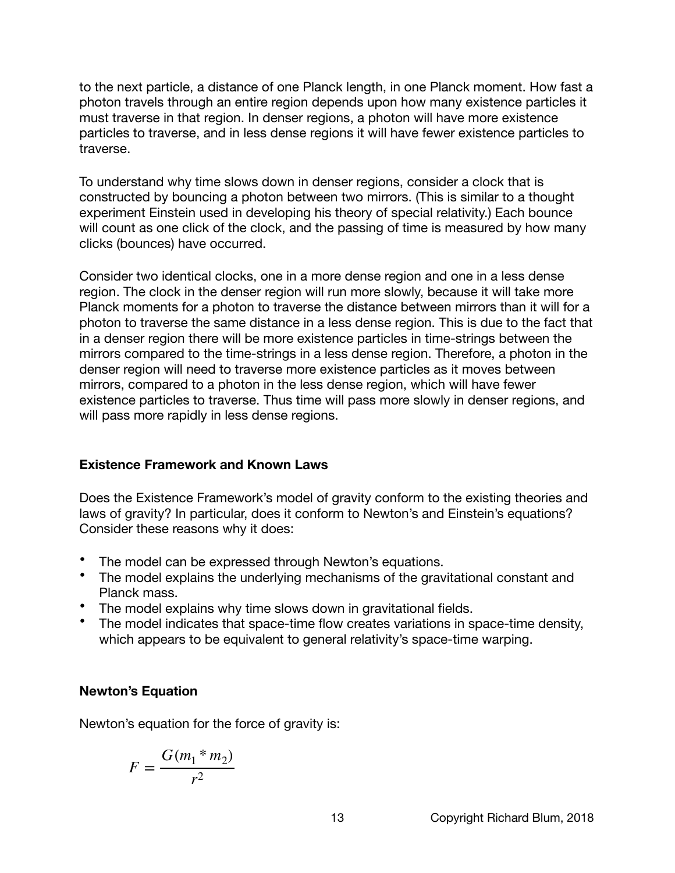to the next particle, a distance of one Planck length, in one Planck moment. How fast a photon travels through an entire region depends upon how many existence particles it must traverse in that region. In denser regions, a photon will have more existence particles to traverse, and in less dense regions it will have fewer existence particles to traverse.

To understand why time slows down in denser regions, consider a clock that is constructed by bouncing a photon between two mirrors. (This is similar to a thought experiment Einstein used in developing his theory of special relativity.) Each bounce will count as one click of the clock, and the passing of time is measured by how many clicks (bounces) have occurred.

Consider two identical clocks, one in a more dense region and one in a less dense region. The clock in the denser region will run more slowly, because it will take more Planck moments for a photon to traverse the distance between mirrors than it will for a photon to traverse the same distance in a less dense region. This is due to the fact that in a denser region there will be more existence particles in time-strings between the mirrors compared to the time-strings in a less dense region. Therefore, a photon in the denser region will need to traverse more existence particles as it moves between mirrors, compared to a photon in the less dense region, which will have fewer existence particles to traverse. Thus time will pass more slowly in denser regions, and will pass more rapidly in less dense regions.

#### **Existence Framework and Known Laws**

Does the Existence Framework's model of gravity conform to the existing theories and laws of gravity? In particular, does it conform to Newton's and Einstein's equations? Consider these reasons why it does:

- The model can be expressed through Newton's equations.
- The model explains the underlying mechanisms of the gravitational constant and Planck mass.
- The model explains why time slows down in gravitational fields.
- The model indicates that space-time flow creates variations in space-time density, which appears to be equivalent to general relativity's space-time warping.

# **Newton's Equation**

Newton's equation for the force of gravity is:

$$
F = \frac{G(m_1 * m_2)}{r^2}
$$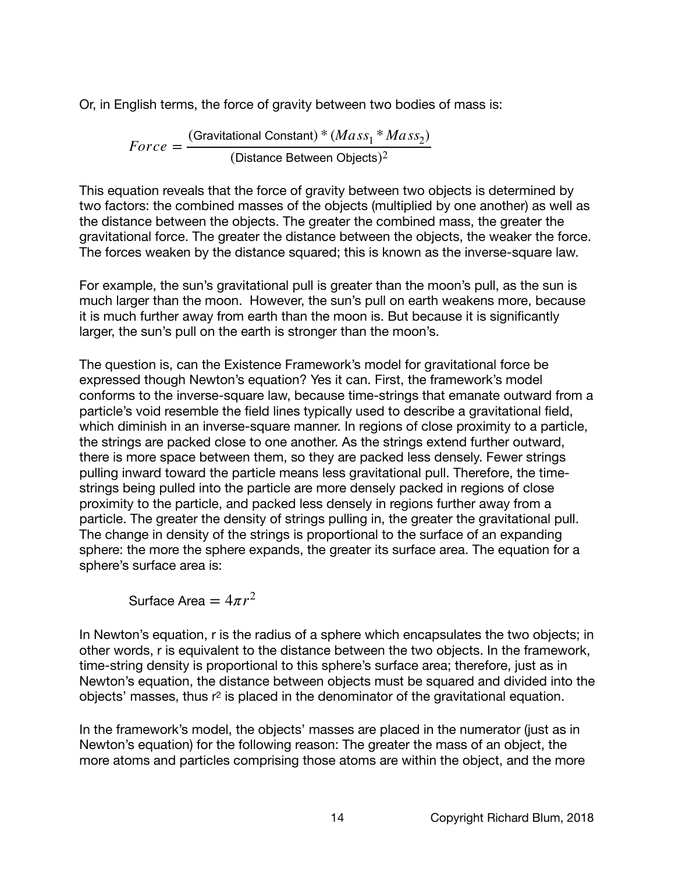Or, in English terms, the force of gravity between two bodies of mass is:

 $Force = \frac{(Gravitational Constant)* (Mass_1 * Mass_2)}{(Dist\_E_1 * max^2)}$ (Distance Between Objects) $^2$ 

This equation reveals that the force of gravity between two objects is determined by two factors: the combined masses of the objects (multiplied by one another) as well as the distance between the objects. The greater the combined mass, the greater the gravitational force. The greater the distance between the objects, the weaker the force. The forces weaken by the distance squared; this is known as the inverse-square law.

For example, the sun's gravitational pull is greater than the moon's pull, as the sun is much larger than the moon. However, the sun's pull on earth weakens more, because it is much further away from earth than the moon is. But because it is significantly larger, the sun's pull on the earth is stronger than the moon's.

The question is, can the Existence Framework's model for gravitational force be expressed though Newton's equation? Yes it can. First, the framework's model conforms to the inverse-square law, because time-strings that emanate outward from a particle's void resemble the field lines typically used to describe a gravitational field, which diminish in an inverse-square manner. In regions of close proximity to a particle, the strings are packed close to one another. As the strings extend further outward, there is more space between them, so they are packed less densely. Fewer strings pulling inward toward the particle means less gravitational pull. Therefore, the timestrings being pulled into the particle are more densely packed in regions of close proximity to the particle, and packed less densely in regions further away from a particle. The greater the density of strings pulling in, the greater the gravitational pull. The change in density of the strings is proportional to the surface of an expanding sphere: the more the sphere expands, the greater its surface area. The equation for a sphere's surface area is:

Surface Area =  $4\pi r^2$ 

In Newton's equation, r is the radius of a sphere which encapsulates the two objects; in other words, r is equivalent to the distance between the two objects. In the framework, time-string density is proportional to this sphere's surface area; therefore, just as in Newton's equation, the distance between objects must be squared and divided into the objects' masses, thus r2 is placed in the denominator of the gravitational equation.

In the framework's model, the objects' masses are placed in the numerator (just as in Newton's equation) for the following reason: The greater the mass of an object, the more atoms and particles comprising those atoms are within the object, and the more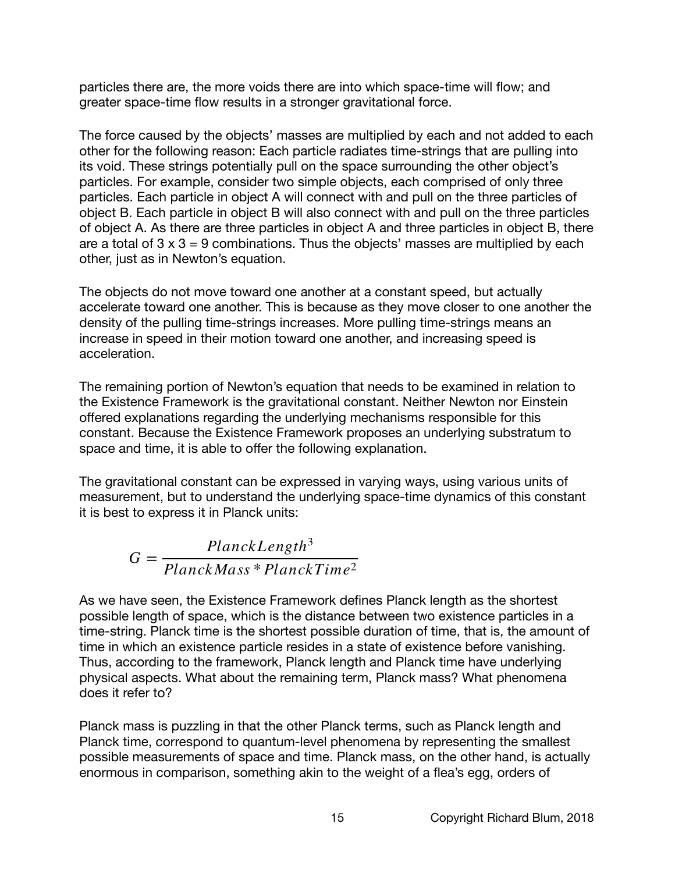particles there are, the more voids there are into which space-time will flow; and greater space-time flow results in a stronger gravitational force.

The force caused by the objects' masses are multiplied by each and not added to each other for the following reason: Each particle radiates time-strings that are pulling into its void. These strings potentially pull on the space surrounding the other object's particles. For example, consider two simple objects, each comprised of only three particles. Each particle in object A will connect with and pull on the three particles of object B. Each particle in object B will also connect with and pull on the three particles of object A. As there are three particles in object A and three particles in object B, there are a total of  $3 \times 3 = 9$  combinations. Thus the objects' masses are multiplied by each other, just as in Newton's equation.

The objects do not move toward one another at a constant speed, but actually accelerate toward one another. This is because as they move closer to one another the density of the pulling time-strings increases. More pulling time-strings means an increase in speed in their motion toward one another, and increasing speed is acceleration.

The remaining portion of Newton's equation that needs to be examined in relation to the Existence Framework is the gravitational constant. Neither Newton nor Einstein offered explanations regarding the underlying mechanisms responsible for this constant. Because the Existence Framework proposes an underlying substratum to space and time, it is able to offer the following explanation.

The gravitational constant can be expressed in varying ways, using various units of measurement, but to understand the underlying space-time dynamics of this constant it is best to express it in Planck units:

$$
G = \frac{PlanckLength^3}{PlanckMass * PlanckTime^2}
$$

As we have seen, the Existence Framework defines Planck length as the shortest possible length of space, which is the distance between two existence particles in a time-string. Planck time is the shortest possible duration of time, that is, the amount of time in which an existence particle resides in a state of existence before vanishing. Thus, according to the framework, Planck length and Planck time have underlying physical aspects. What about the remaining term, Planck mass? What phenomena does it refer to?

Planck mass is puzzling in that the other Planck terms, such as Planck length and Planck time, correspond to quantum-level phenomena by representing the smallest possible measurements of space and time. Planck mass, on the other hand, is actually enormous in comparison, something akin to the weight of a flea's egg, orders of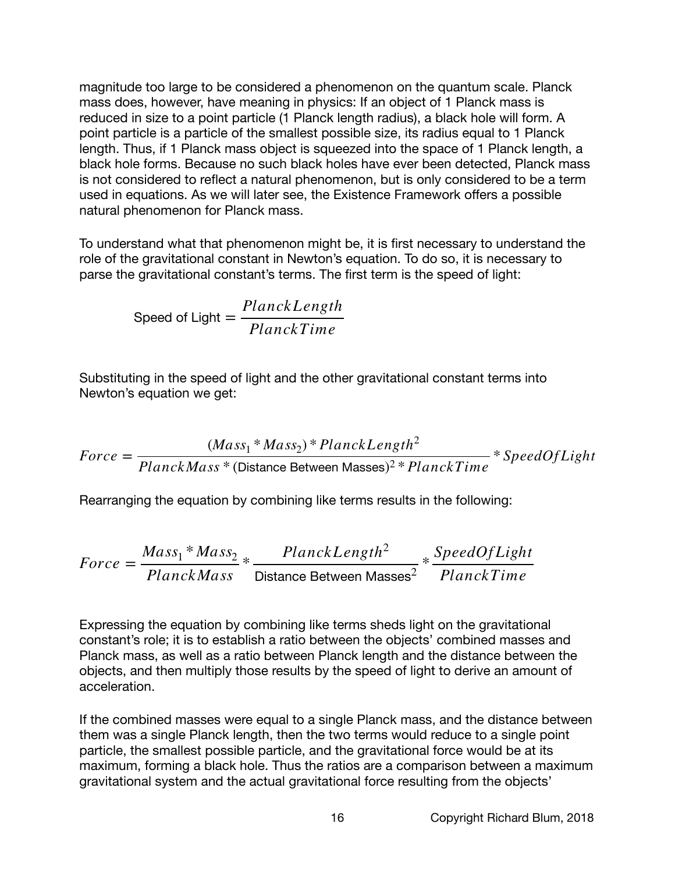magnitude too large to be considered a phenomenon on the quantum scale. Planck mass does, however, have meaning in physics: If an object of 1 Planck mass is reduced in size to a point particle (1 Planck length radius), a black hole will form. A point particle is a particle of the smallest possible size, its radius equal to 1 Planck length. Thus, if 1 Planck mass object is squeezed into the space of 1 Planck length, a black hole forms. Because no such black holes have ever been detected, Planck mass is not considered to reflect a natural phenomenon, but is only considered to be a term used in equations. As we will later see, the Existence Framework offers a possible natural phenomenon for Planck mass.

To understand what that phenomenon might be, it is first necessary to understand the role of the gravitational constant in Newton's equation. To do so, it is necessary to parse the gravitational constant's terms. The first term is the speed of light:

Speed of Light = 
$$
\frac{PlanckLength}{PlanckTime}
$$

Substituting in the speed of light and the other gravitational constant terms into Newton's equation we get:

$$
Force = \frac{(Mass_1 * Mass_2) * PlanckLength^2}{PlanckMass * (Distance Between Masses)^2 * PlanckTime} * SpeedOfLight
$$

Rearranging the equation by combining like terms results in the following:

$$
Force = \frac{Mass_1 * Mass_2}{PlanckMass} * \frac{PlanckLength^2}{Distance Between Masses^2} * \frac{SpeedOfLight}{PlanckTime}
$$

Expressing the equation by combining like terms sheds light on the gravitational constant's role; it is to establish a ratio between the objects' combined masses and Planck mass, as well as a ratio between Planck length and the distance between the objects, and then multiply those results by the speed of light to derive an amount of acceleration.

If the combined masses were equal to a single Planck mass, and the distance between them was a single Planck length, then the two terms would reduce to a single point particle, the smallest possible particle, and the gravitational force would be at its maximum, forming a black hole. Thus the ratios are a comparison between a maximum gravitational system and the actual gravitational force resulting from the objects'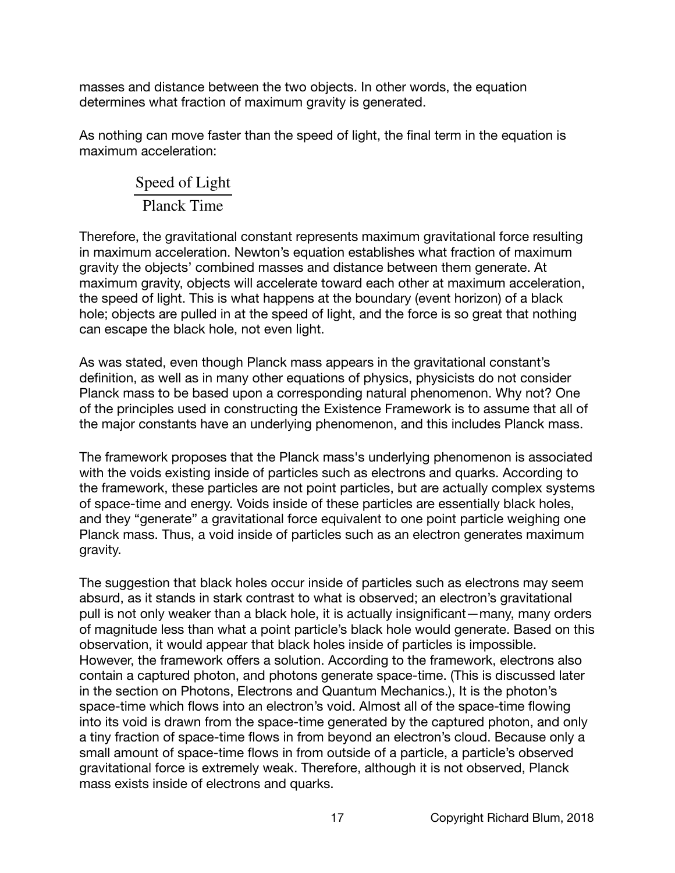masses and distance between the two objects. In other words, the equation determines what fraction of maximum gravity is generated.

As nothing can move faster than the speed of light, the final term in the equation is maximum acceleration:

# Speed of Light Planck Time

Therefore, the gravitational constant represents maximum gravitational force resulting in maximum acceleration. Newton's equation establishes what fraction of maximum gravity the objects' combined masses and distance between them generate. At maximum gravity, objects will accelerate toward each other at maximum acceleration, the speed of light. This is what happens at the boundary (event horizon) of a black hole; objects are pulled in at the speed of light, and the force is so great that nothing can escape the black hole, not even light.

As was stated, even though Planck mass appears in the gravitational constant's definition, as well as in many other equations of physics, physicists do not consider Planck mass to be based upon a corresponding natural phenomenon. Why not? One of the principles used in constructing the Existence Framework is to assume that all of the major constants have an underlying phenomenon, and this includes Planck mass.

The framework proposes that the Planck mass's underlying phenomenon is associated with the voids existing inside of particles such as electrons and quarks. According to the framework, these particles are not point particles, but are actually complex systems of space-time and energy. Voids inside of these particles are essentially black holes, and they "generate" a gravitational force equivalent to one point particle weighing one Planck mass. Thus, a void inside of particles such as an electron generates maximum gravity.

The suggestion that black holes occur inside of particles such as electrons may seem absurd, as it stands in stark contrast to what is observed; an electron's gravitational pull is not only weaker than a black hole, it is actually insignificant—many, many orders of magnitude less than what a point particle's black hole would generate. Based on this observation, it would appear that black holes inside of particles is impossible. However, the framework offers a solution. According to the framework, electrons also contain a captured photon, and photons generate space-time. (This is discussed later in the section on Photons, Electrons and Quantum Mechanics.), It is the photon's space-time which flows into an electron's void. Almost all of the space-time flowing into its void is drawn from the space-time generated by the captured photon, and only a tiny fraction of space-time flows in from beyond an electron's cloud. Because only a small amount of space-time flows in from outside of a particle, a particle's observed gravitational force is extremely weak. Therefore, although it is not observed, Planck mass exists inside of electrons and quarks.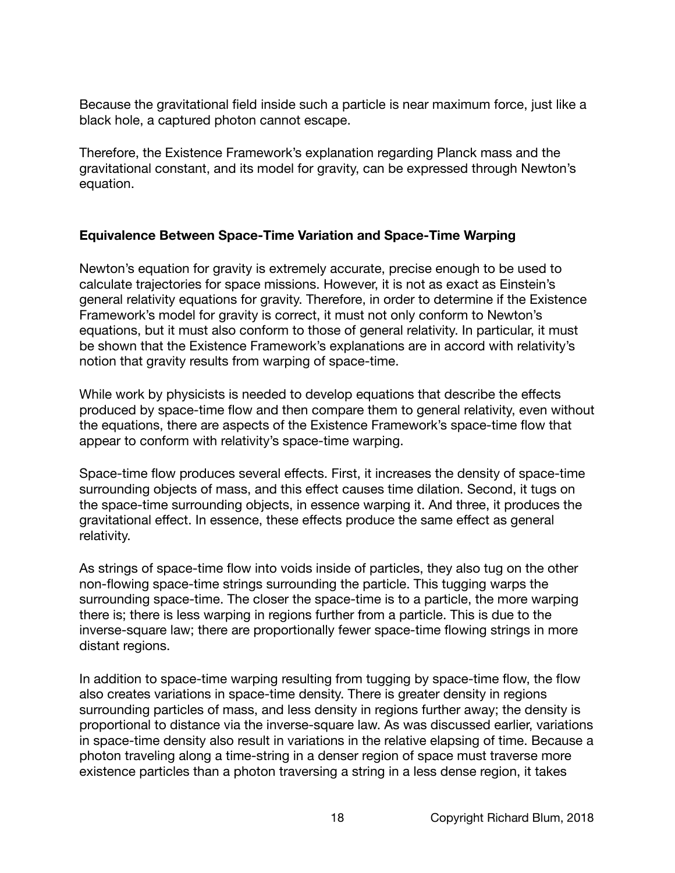Because the gravitational field inside such a particle is near maximum force, just like a black hole, a captured photon cannot escape.

Therefore, the Existence Framework's explanation regarding Planck mass and the gravitational constant, and its model for gravity, can be expressed through Newton's equation.

## **Equivalence Between Space-Time Variation and Space-Time Warping**

Newton's equation for gravity is extremely accurate, precise enough to be used to calculate trajectories for space missions. However, it is not as exact as Einstein's general relativity equations for gravity. Therefore, in order to determine if the Existence Framework's model for gravity is correct, it must not only conform to Newton's equations, but it must also conform to those of general relativity. In particular, it must be shown that the Existence Framework's explanations are in accord with relativity's notion that gravity results from warping of space-time.

While work by physicists is needed to develop equations that describe the effects produced by space-time flow and then compare them to general relativity, even without the equations, there are aspects of the Existence Framework's space-time flow that appear to conform with relativity's space-time warping.

Space-time flow produces several effects. First, it increases the density of space-time surrounding objects of mass, and this effect causes time dilation. Second, it tugs on the space-time surrounding objects, in essence warping it. And three, it produces the gravitational effect. In essence, these effects produce the same effect as general relativity.

As strings of space-time flow into voids inside of particles, they also tug on the other non-flowing space-time strings surrounding the particle. This tugging warps the surrounding space-time. The closer the space-time is to a particle, the more warping there is; there is less warping in regions further from a particle. This is due to the inverse-square law; there are proportionally fewer space-time flowing strings in more distant regions.

In addition to space-time warping resulting from tugging by space-time flow, the flow also creates variations in space-time density. There is greater density in regions surrounding particles of mass, and less density in regions further away; the density is proportional to distance via the inverse-square law. As was discussed earlier, variations in space-time density also result in variations in the relative elapsing of time. Because a photon traveling along a time-string in a denser region of space must traverse more existence particles than a photon traversing a string in a less dense region, it takes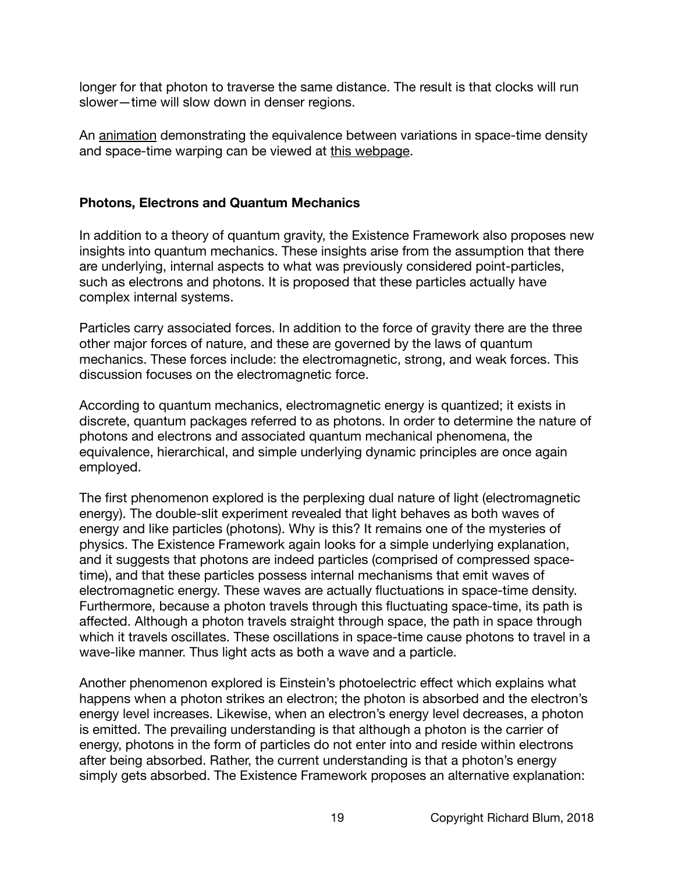longer for that photon to traverse the same distance. The result is that clocks will run slower—time will slow down in denser regions.

An [animation](https://www.richblum.net/architecture-of-the-universe) demonstrating the equivalence between variations in space-time density and space-time warping can be viewed at [this webpage.](https://www.richblum.net/architecture-of-the-universe)

## **Photons, Electrons and Quantum Mechanics**

In addition to a theory of quantum gravity, the Existence Framework also proposes new insights into quantum mechanics. These insights arise from the assumption that there are underlying, internal aspects to what was previously considered point-particles, such as electrons and photons. It is proposed that these particles actually have complex internal systems.

Particles carry associated forces. In addition to the force of gravity there are the three other major forces of nature, and these are governed by the laws of quantum mechanics. These forces include: the electromagnetic, strong, and weak forces. This discussion focuses on the electromagnetic force.

According to quantum mechanics, electromagnetic energy is quantized; it exists in discrete, quantum packages referred to as photons. In order to determine the nature of photons and electrons and associated quantum mechanical phenomena, the equivalence, hierarchical, and simple underlying dynamic principles are once again employed.

The first phenomenon explored is the perplexing dual nature of light (electromagnetic energy). The double-slit experiment revealed that light behaves as both waves of energy and like particles (photons). Why is this? It remains one of the mysteries of physics. The Existence Framework again looks for a simple underlying explanation, and it suggests that photons are indeed particles (comprised of compressed spacetime), and that these particles possess internal mechanisms that emit waves of electromagnetic energy. These waves are actually fluctuations in space-time density. Furthermore, because a photon travels through this fluctuating space-time, its path is affected. Although a photon travels straight through space, the path in space through which it travels oscillates. These oscillations in space-time cause photons to travel in a wave-like manner. Thus light acts as both a wave and a particle.

Another phenomenon explored is Einstein's photoelectric effect which explains what happens when a photon strikes an electron; the photon is absorbed and the electron's energy level increases. Likewise, when an electron's energy level decreases, a photon is emitted. The prevailing understanding is that although a photon is the carrier of energy, photons in the form of particles do not enter into and reside within electrons after being absorbed. Rather, the current understanding is that a photon's energy simply gets absorbed. The Existence Framework proposes an alternative explanation: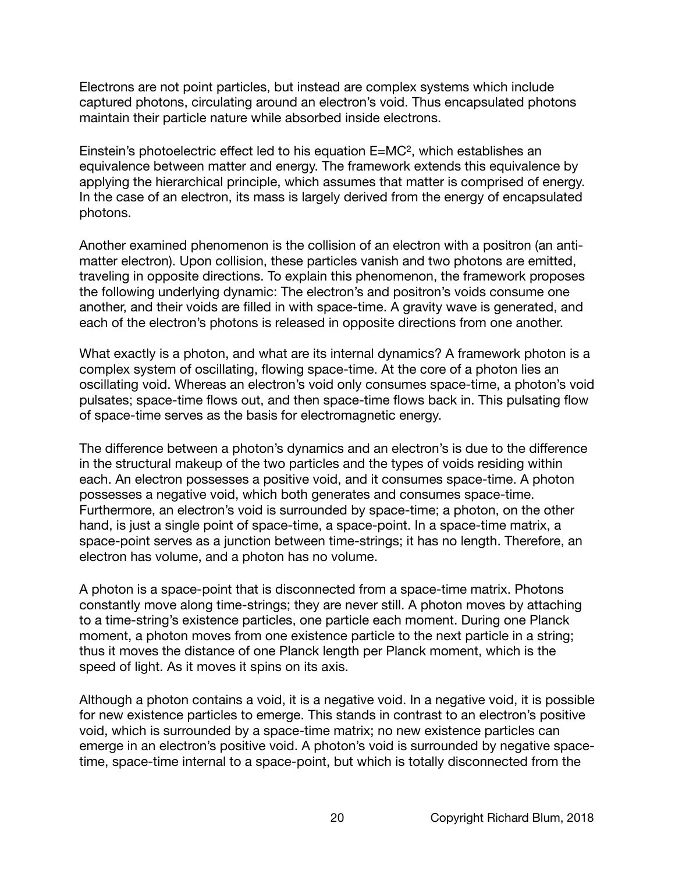Electrons are not point particles, but instead are complex systems which include captured photons, circulating around an electron's void. Thus encapsulated photons maintain their particle nature while absorbed inside electrons.

Einstein's photoelectric effect led to his equation E=MC2, which establishes an equivalence between matter and energy. The framework extends this equivalence by applying the hierarchical principle, which assumes that matter is comprised of energy. In the case of an electron, its mass is largely derived from the energy of encapsulated photons.

Another examined phenomenon is the collision of an electron with a positron (an antimatter electron). Upon collision, these particles vanish and two photons are emitted, traveling in opposite directions. To explain this phenomenon, the framework proposes the following underlying dynamic: The electron's and positron's voids consume one another, and their voids are filled in with space-time. A gravity wave is generated, and each of the electron's photons is released in opposite directions from one another.

What exactly is a photon, and what are its internal dynamics? A framework photon is a complex system of oscillating, flowing space-time. At the core of a photon lies an oscillating void. Whereas an electron's void only consumes space-time, a photon's void pulsates; space-time flows out, and then space-time flows back in. This pulsating flow of space-time serves as the basis for electromagnetic energy.

The difference between a photon's dynamics and an electron's is due to the difference in the structural makeup of the two particles and the types of voids residing within each. An electron possesses a positive void, and it consumes space-time. A photon possesses a negative void, which both generates and consumes space-time. Furthermore, an electron's void is surrounded by space-time; a photon, on the other hand, is just a single point of space-time, a space-point. In a space-time matrix, a space-point serves as a junction between time-strings; it has no length. Therefore, an electron has volume, and a photon has no volume.

A photon is a space-point that is disconnected from a space-time matrix. Photons constantly move along time-strings; they are never still. A photon moves by attaching to a time-string's existence particles, one particle each moment. During one Planck moment, a photon moves from one existence particle to the next particle in a string; thus it moves the distance of one Planck length per Planck moment, which is the speed of light. As it moves it spins on its axis.

Although a photon contains a void, it is a negative void. In a negative void, it is possible for new existence particles to emerge. This stands in contrast to an electron's positive void, which is surrounded by a space-time matrix; no new existence particles can emerge in an electron's positive void. A photon's void is surrounded by negative spacetime, space-time internal to a space-point, but which is totally disconnected from the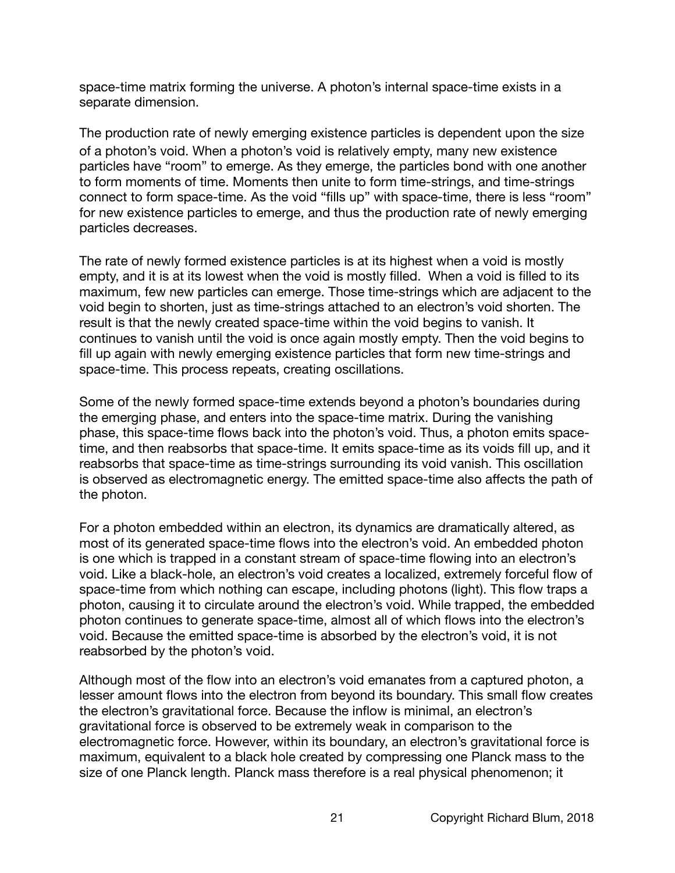space-time matrix forming the universe. A photon's internal space-time exists in a separate dimension.

The production rate of newly emerging existence particles is dependent upon the size of a photon's void. When a photon's void is relatively empty, many new existence particles have "room" to emerge. As they emerge, the particles bond with one another to form moments of time. Moments then unite to form time-strings, and time-strings connect to form space-time. As the void "fills up" with space-time, there is less "room" for new existence particles to emerge, and thus the production rate of newly emerging particles decreases.

The rate of newly formed existence particles is at its highest when a void is mostly empty, and it is at its lowest when the void is mostly filled. When a void is filled to its maximum, few new particles can emerge. Those time-strings which are adjacent to the void begin to shorten, just as time-strings attached to an electron's void shorten. The result is that the newly created space-time within the void begins to vanish. It continues to vanish until the void is once again mostly empty. Then the void begins to fill up again with newly emerging existence particles that form new time-strings and space-time. This process repeats, creating oscillations.

Some of the newly formed space-time extends beyond a photon's boundaries during the emerging phase, and enters into the space-time matrix. During the vanishing phase, this space-time flows back into the photon's void. Thus, a photon emits spacetime, and then reabsorbs that space-time. It emits space-time as its voids fill up, and it reabsorbs that space-time as time-strings surrounding its void vanish. This oscillation is observed as electromagnetic energy. The emitted space-time also affects the path of the photon.

For a photon embedded within an electron, its dynamics are dramatically altered, as most of its generated space-time flows into the electron's void. An embedded photon is one which is trapped in a constant stream of space-time flowing into an electron's void. Like a black-hole, an electron's void creates a localized, extremely forceful flow of space-time from which nothing can escape, including photons (light). This flow traps a photon, causing it to circulate around the electron's void. While trapped, the embedded photon continues to generate space-time, almost all of which flows into the electron's void. Because the emitted space-time is absorbed by the electron's void, it is not reabsorbed by the photon's void.

Although most of the flow into an electron's void emanates from a captured photon, a lesser amount flows into the electron from beyond its boundary. This small flow creates the electron's gravitational force. Because the inflow is minimal, an electron's gravitational force is observed to be extremely weak in comparison to the electromagnetic force. However, within its boundary, an electron's gravitational force is maximum, equivalent to a black hole created by compressing one Planck mass to the size of one Planck length. Planck mass therefore is a real physical phenomenon; it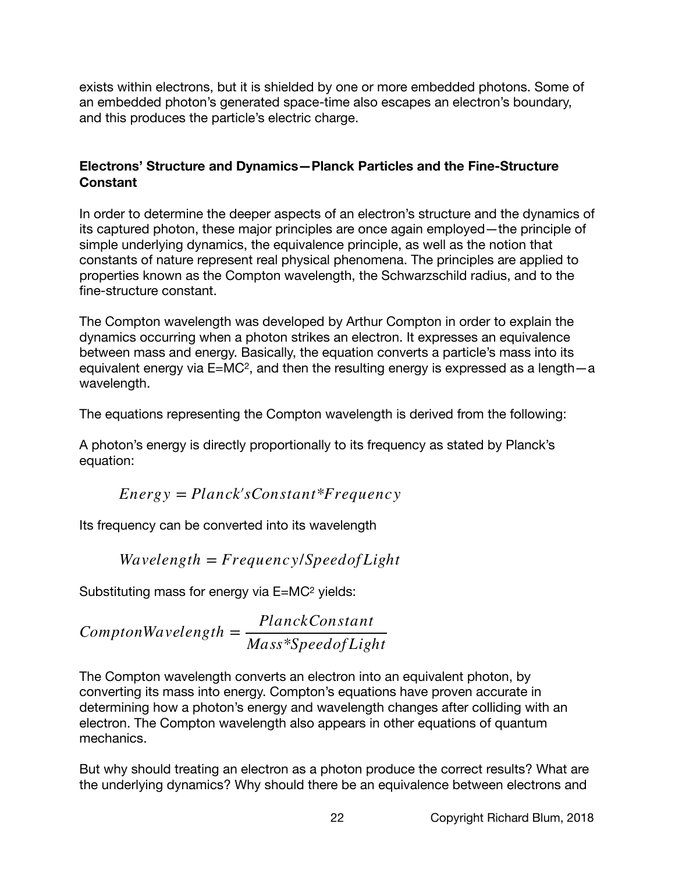exists within electrons, but it is shielded by one or more embedded photons. Some of an embedded photon's generated space-time also escapes an electron's boundary, and this produces the particle's electric charge.

# **Electrons' Structure and Dynamics—Planck Particles and the Fine-Structure Constant**

In order to determine the deeper aspects of an electron's structure and the dynamics of its captured photon, these major principles are once again employed—the principle of simple underlying dynamics, the equivalence principle, as well as the notion that constants of nature represent real physical phenomena. The principles are applied to properties known as the Compton wavelength, the Schwarzschild radius, and to the fine-structure constant.

The Compton wavelength was developed by Arthur Compton in order to explain the dynamics occurring when a photon strikes an electron. It expresses an equivalence between mass and energy. Basically, the equation converts a particle's mass into its equivalent energy via E=MC2, and then the resulting energy is expressed as a length—a wavelength.

The equations representing the Compton wavelength is derived from the following:

A photon's energy is directly proportionally to its frequency as stated by Planck's equation:

$$
Energy = Planck's Constant*Frequency
$$

Its frequency can be converted into its wavelength

$$
Wavelength = Frequency/Speed of Light
$$

Substituting mass for energy via E=MC2 yields:

$$
Compton Wavelength = \frac{PlanckConstant}{Mass*SpeedofLight}
$$

The Compton wavelength converts an electron into an equivalent photon, by converting its mass into energy. Compton's equations have proven accurate in determining how a photon's energy and wavelength changes after colliding with an electron. The Compton wavelength also appears in other equations of quantum mechanics.

But why should treating an electron as a photon produce the correct results? What are the underlying dynamics? Why should there be an equivalence between electrons and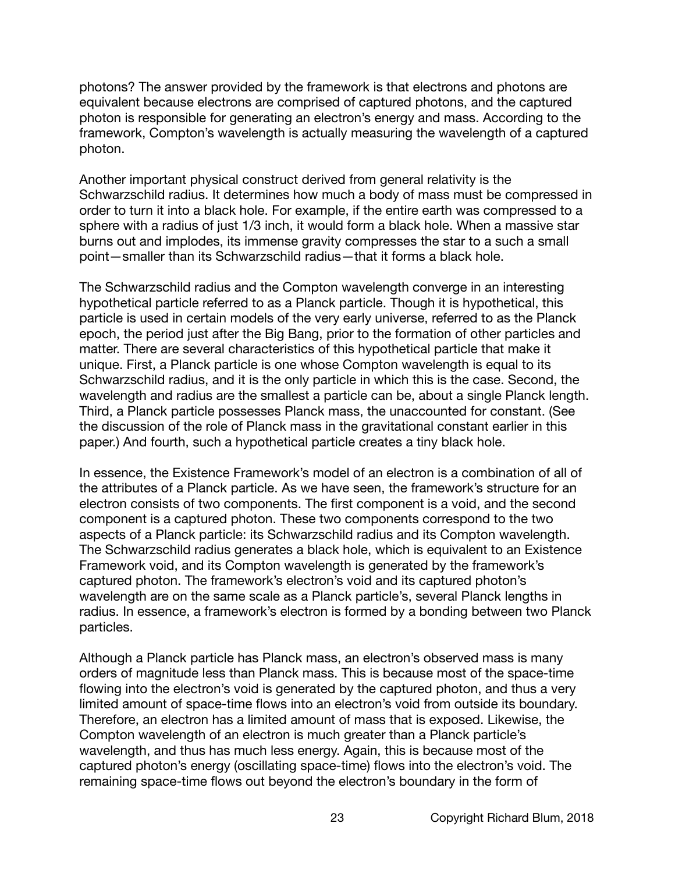photons? The answer provided by the framework is that electrons and photons are equivalent because electrons are comprised of captured photons, and the captured photon is responsible for generating an electron's energy and mass. According to the framework, Compton's wavelength is actually measuring the wavelength of a captured photon.

Another important physical construct derived from general relativity is the Schwarzschild radius. It determines how much a body of mass must be compressed in order to turn it into a black hole. For example, if the entire earth was compressed to a sphere with a radius of just 1/3 inch, it would form a black hole. When a massive star burns out and implodes, its immense gravity compresses the star to a such a small point—smaller than its Schwarzschild radius—that it forms a black hole.

The Schwarzschild radius and the Compton wavelength converge in an interesting hypothetical particle referred to as a Planck particle. Though it is hypothetical, this particle is used in certain models of the very early universe, referred to as the Planck epoch, the period just after the Big Bang, prior to the formation of other particles and matter. There are several characteristics of this hypothetical particle that make it unique. First, a Planck particle is one whose Compton wavelength is equal to its Schwarzschild radius, and it is the only particle in which this is the case. Second, the wavelength and radius are the smallest a particle can be, about a single Planck length. Third, a Planck particle possesses Planck mass, the unaccounted for constant. (See the discussion of the role of Planck mass in the gravitational constant earlier in this paper.) And fourth, such a hypothetical particle creates a tiny black hole.

In essence, the Existence Framework's model of an electron is a combination of all of the attributes of a Planck particle. As we have seen, the framework's structure for an electron consists of two components. The first component is a void, and the second component is a captured photon. These two components correspond to the two aspects of a Planck particle: its Schwarzschild radius and its Compton wavelength. The Schwarzschild radius generates a black hole, which is equivalent to an Existence Framework void, and its Compton wavelength is generated by the framework's captured photon. The framework's electron's void and its captured photon's wavelength are on the same scale as a Planck particle's, several Planck lengths in radius. In essence, a framework's electron is formed by a bonding between two Planck particles.

Although a Planck particle has Planck mass, an electron's observed mass is many orders of magnitude less than Planck mass. This is because most of the space-time flowing into the electron's void is generated by the captured photon, and thus a very limited amount of space-time flows into an electron's void from outside its boundary. Therefore, an electron has a limited amount of mass that is exposed. Likewise, the Compton wavelength of an electron is much greater than a Planck particle's wavelength, and thus has much less energy. Again, this is because most of the captured photon's energy (oscillating space-time) flows into the electron's void. The remaining space-time flows out beyond the electron's boundary in the form of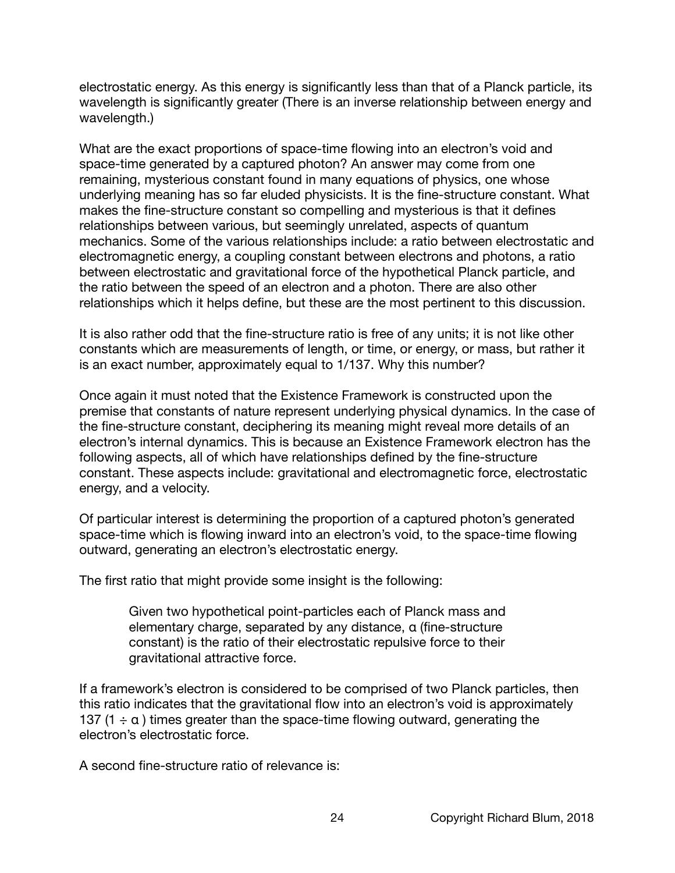electrostatic energy. As this energy is significantly less than that of a Planck particle, its wavelength is significantly greater (There is an inverse relationship between energy and wavelength.)

What are the exact proportions of space-time flowing into an electron's void and space-time generated by a captured photon? An answer may come from one remaining, mysterious constant found in many equations of physics, one whose underlying meaning has so far eluded physicists. It is the fine-structure constant. What makes the fine-structure constant so compelling and mysterious is that it defines relationships between various, but seemingly unrelated, aspects of quantum mechanics. Some of the various relationships include: a ratio between electrostatic and electromagnetic energy, a coupling constant between electrons and photons, a ratio between electrostatic and gravitational force of the hypothetical Planck particle, and the ratio between the speed of an electron and a photon. There are also other relationships which it helps define, but these are the most pertinent to this discussion.

It is also rather odd that the fine-structure ratio is free of any units; it is not like other constants which are measurements of length, or time, or energy, or mass, but rather it is an exact number, approximately equal to 1/137. Why this number?

Once again it must noted that the Existence Framework is constructed upon the premise that constants of nature represent underlying physical dynamics. In the case of the fine-structure constant, deciphering its meaning might reveal more details of an electron's internal dynamics. This is because an Existence Framework electron has the following aspects, all of which have relationships defined by the fine-structure constant. These aspects include: gravitational and electromagnetic force, electrostatic energy, and a velocity.

Of particular interest is determining the proportion of a captured photon's generated space-time which is flowing inward into an electron's void, to the space-time flowing outward, generating an electron's electrostatic energy.

The first ratio that might provide some insight is the following:

Given two hypothetical point-particles each of Planck mass and elementary charge, separated by any distance, α (fine-structure constant) is the ratio of their electrostatic repulsive force to their gravitational attractive force.

If a framework's electron is considered to be comprised of two Planck particles, then this ratio indicates that the gravitational flow into an electron's void is approximately 137 (1  $\div$  α) times greater than the space-time flowing outward, generating the electron's electrostatic force.

A second fine-structure ratio of relevance is: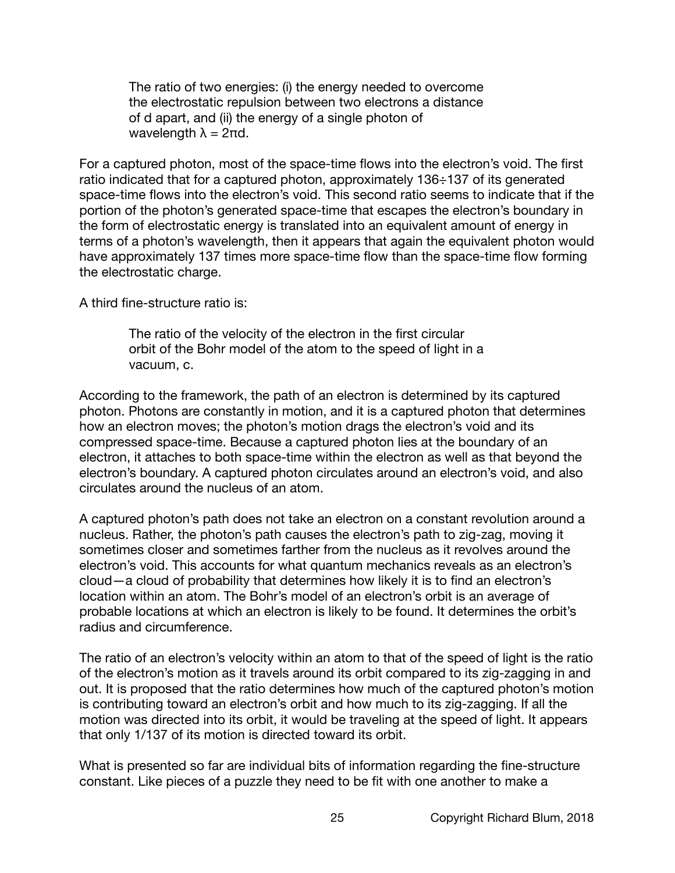The ratio of two energies: (i) the energy needed to overcome the electrostatic repulsion between two electrons a distance of d apart, and (ii) the energy of a single photon of wavelength  $\lambda = 2\pi d$ .

For a captured photon, most of the space-time flows into the electron's void. The first ratio indicated that for a captured photon, approximately 136÷137 of its generated space-time flows into the electron's void. This second ratio seems to indicate that if the portion of the photon's generated space-time that escapes the electron's boundary in the form of electrostatic energy is translated into an equivalent amount of energy in terms of a photon's wavelength, then it appears that again the equivalent photon would have approximately 137 times more space-time flow than the space-time flow forming the electrostatic charge.

A third fine-structure ratio is:

The ratio of the velocity of the electron in the first circular orbit of the Bohr model of the atom to the speed of light in a vacuum, c.

According to the framework, the path of an electron is determined by its captured photon. Photons are constantly in motion, and it is a captured photon that determines how an electron moves; the photon's motion drags the electron's void and its compressed space-time. Because a captured photon lies at the boundary of an electron, it attaches to both space-time within the electron as well as that beyond the electron's boundary. A captured photon circulates around an electron's void, and also circulates around the nucleus of an atom.

A captured photon's path does not take an electron on a constant revolution around a nucleus. Rather, the photon's path causes the electron's path to zig-zag, moving it sometimes closer and sometimes farther from the nucleus as it revolves around the electron's void. This accounts for what quantum mechanics reveals as an electron's cloud—a cloud of probability that determines how likely it is to find an electron's location within an atom. The Bohr's model of an electron's orbit is an average of probable locations at which an electron is likely to be found. It determines the orbit's radius and circumference.

The ratio of an electron's velocity within an atom to that of the speed of light is the ratio of the electron's motion as it travels around its orbit compared to its zig-zagging in and out. It is proposed that the ratio determines how much of the captured photon's motion is contributing toward an electron's orbit and how much to its zig-zagging. If all the motion was directed into its orbit, it would be traveling at the speed of light. It appears that only 1/137 of its motion is directed toward its orbit.

What is presented so far are individual bits of information regarding the fine-structure constant. Like pieces of a puzzle they need to be fit with one another to make a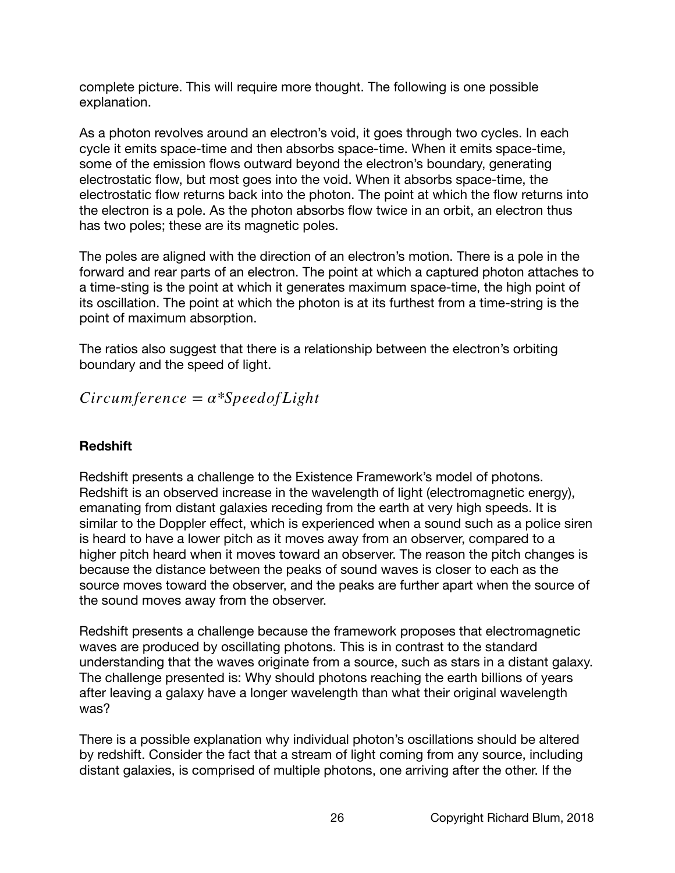complete picture. This will require more thought. The following is one possible explanation.

As a photon revolves around an electron's void, it goes through two cycles. In each cycle it emits space-time and then absorbs space-time. When it emits space-time, some of the emission flows outward beyond the electron's boundary, generating electrostatic flow, but most goes into the void. When it absorbs space-time, the electrostatic flow returns back into the photon. The point at which the flow returns into the electron is a pole. As the photon absorbs flow twice in an orbit, an electron thus has two poles; these are its magnetic poles.

The poles are aligned with the direction of an electron's motion. There is a pole in the forward and rear parts of an electron. The point at which a captured photon attaches to a time-sting is the point at which it generates maximum space-time, the high point of its oscillation. The point at which the photon is at its furthest from a time-string is the point of maximum absorption.

The ratios also suggest that there is a relationship between the electron's orbiting boundary and the speed of light.

*Circumference* = *α\*Speedof Light*

# **Redshift**

Redshift presents a challenge to the Existence Framework's model of photons. Redshift is an observed increase in the wavelength of light (electromagnetic energy), emanating from distant galaxies receding from the earth at very high speeds. It is similar to the Doppler effect, which is experienced when a sound such as a police siren is heard to have a lower pitch as it moves away from an observer, compared to a higher pitch heard when it moves toward an observer. The reason the pitch changes is because the distance between the peaks of sound waves is closer to each as the source moves toward the observer, and the peaks are further apart when the source of the sound moves away from the observer.

Redshift presents a challenge because the framework proposes that electromagnetic waves are produced by oscillating photons. This is in contrast to the standard understanding that the waves originate from a source, such as stars in a distant galaxy. The challenge presented is: Why should photons reaching the earth billions of years after leaving a galaxy have a longer wavelength than what their original wavelength was?

There is a possible explanation why individual photon's oscillations should be altered by redshift. Consider the fact that a stream of light coming from any source, including distant galaxies, is comprised of multiple photons, one arriving after the other. If the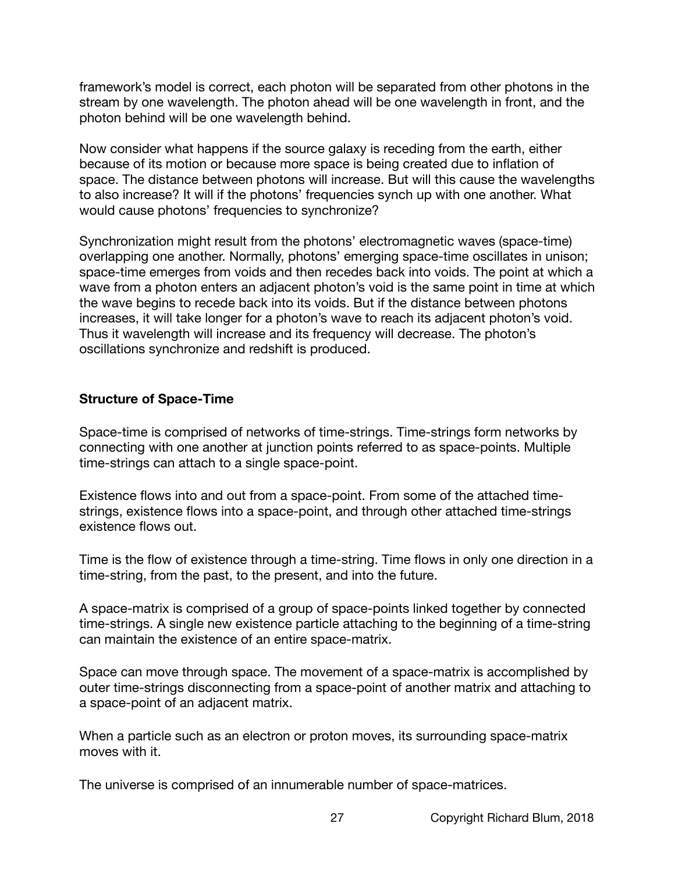framework's model is correct, each photon will be separated from other photons in the stream by one wavelength. The photon ahead will be one wavelength in front, and the photon behind will be one wavelength behind.

Now consider what happens if the source galaxy is receding from the earth, either because of its motion or because more space is being created due to inflation of space. The distance between photons will increase. But will this cause the wavelengths to also increase? It will if the photons' frequencies synch up with one another. What would cause photons' frequencies to synchronize?

Synchronization might result from the photons' electromagnetic waves (space-time) overlapping one another. Normally, photons' emerging space-time oscillates in unison; space-time emerges from voids and then recedes back into voids. The point at which a wave from a photon enters an adjacent photon's void is the same point in time at which the wave begins to recede back into its voids. But if the distance between photons increases, it will take longer for a photon's wave to reach its adjacent photon's void. Thus it wavelength will increase and its frequency will decrease. The photon's oscillations synchronize and redshift is produced.

# **Structure of Space-Time**

Space-time is comprised of networks of time-strings. Time-strings form networks by connecting with one another at junction points referred to as space-points. Multiple time-strings can attach to a single space-point.

Existence flows into and out from a space-point. From some of the attached timestrings, existence flows into a space-point, and through other attached time-strings existence flows out.

Time is the flow of existence through a time-string. Time flows in only one direction in a time-string, from the past, to the present, and into the future.

A space-matrix is comprised of a group of space-points linked together by connected time-strings. A single new existence particle attaching to the beginning of a time-string can maintain the existence of an entire space-matrix.

Space can move through space. The movement of a space-matrix is accomplished by outer time-strings disconnecting from a space-point of another matrix and attaching to a space-point of an adjacent matrix.

When a particle such as an electron or proton moves, its surrounding space-matrix moves with it.

The universe is comprised of an innumerable number of space-matrices.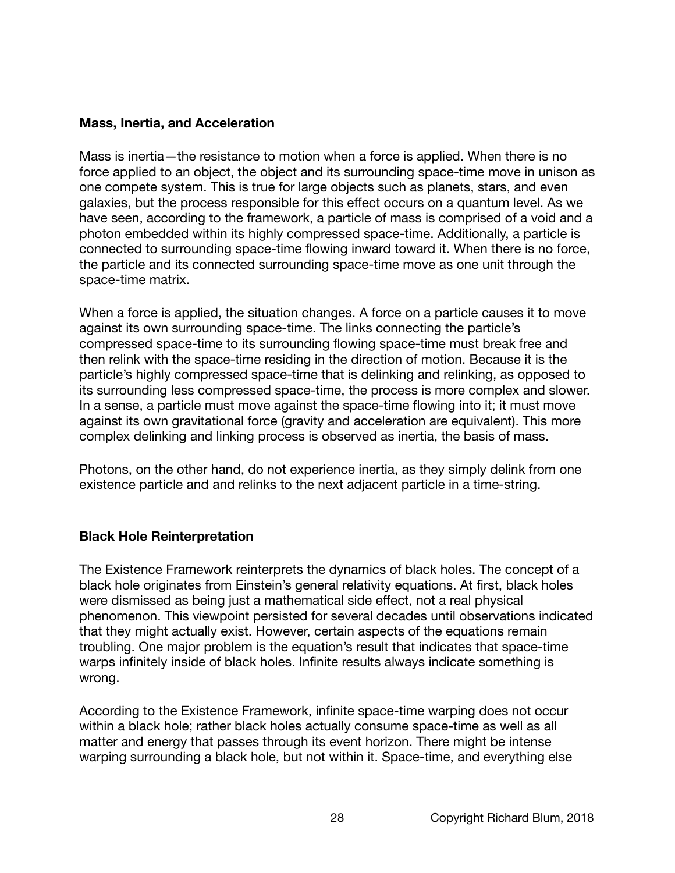## **Mass, Inertia, and Acceleration**

Mass is inertia—the resistance to motion when a force is applied. When there is no force applied to an object, the object and its surrounding space-time move in unison as one compete system. This is true for large objects such as planets, stars, and even galaxies, but the process responsible for this effect occurs on a quantum level. As we have seen, according to the framework, a particle of mass is comprised of a void and a photon embedded within its highly compressed space-time. Additionally, a particle is connected to surrounding space-time flowing inward toward it. When there is no force, the particle and its connected surrounding space-time move as one unit through the space-time matrix.

When a force is applied, the situation changes. A force on a particle causes it to move against its own surrounding space-time. The links connecting the particle's compressed space-time to its surrounding flowing space-time must break free and then relink with the space-time residing in the direction of motion. Because it is the particle's highly compressed space-time that is delinking and relinking, as opposed to its surrounding less compressed space-time, the process is more complex and slower. In a sense, a particle must move against the space-time flowing into it; it must move against its own gravitational force (gravity and acceleration are equivalent). This more complex delinking and linking process is observed as inertia, the basis of mass.

Photons, on the other hand, do not experience inertia, as they simply delink from one existence particle and and relinks to the next adjacent particle in a time-string.

#### **Black Hole Reinterpretation**

The Existence Framework reinterprets the dynamics of black holes. The concept of a black hole originates from Einstein's general relativity equations. At first, black holes were dismissed as being just a mathematical side effect, not a real physical phenomenon. This viewpoint persisted for several decades until observations indicated that they might actually exist. However, certain aspects of the equations remain troubling. One major problem is the equation's result that indicates that space-time warps infinitely inside of black holes. Infinite results always indicate something is wrong.

According to the Existence Framework, infinite space-time warping does not occur within a black hole; rather black holes actually consume space-time as well as all matter and energy that passes through its event horizon. There might be intense warping surrounding a black hole, but not within it. Space-time, and everything else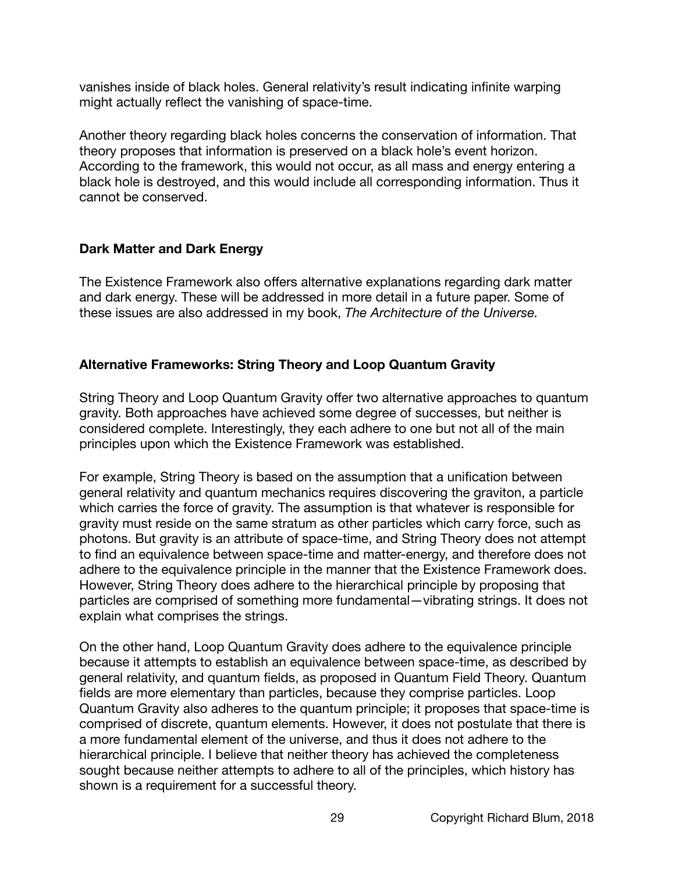vanishes inside of black holes. General relativity's result indicating infinite warping might actually reflect the vanishing of space-time.

Another theory regarding black holes concerns the conservation of information. That theory proposes that information is preserved on a black hole's event horizon. According to the framework, this would not occur, as all mass and energy entering a black hole is destroyed, and this would include all corresponding information. Thus it cannot be conserved.

# **Dark Matter and Dark Energy**

The Existence Framework also offers alternative explanations regarding dark matter and dark energy. These will be addressed in more detail in a future paper. Some of these issues are also addressed in my book, *The Architecture of the Universe.*

# **Alternative Frameworks: String Theory and Loop Quantum Gravity**

String Theory and Loop Quantum Gravity offer two alternative approaches to quantum gravity. Both approaches have achieved some degree of successes, but neither is considered complete. Interestingly, they each adhere to one but not all of the main principles upon which the Existence Framework was established.

For example, String Theory is based on the assumption that a unification between general relativity and quantum mechanics requires discovering the graviton, a particle which carries the force of gravity. The assumption is that whatever is responsible for gravity must reside on the same stratum as other particles which carry force, such as photons. But gravity is an attribute of space-time, and String Theory does not attempt to find an equivalence between space-time and matter-energy, and therefore does not adhere to the equivalence principle in the manner that the Existence Framework does. However, String Theory does adhere to the hierarchical principle by proposing that particles are comprised of something more fundamental—vibrating strings. It does not explain what comprises the strings.

On the other hand, Loop Quantum Gravity does adhere to the equivalence principle because it attempts to establish an equivalence between space-time, as described by general relativity, and quantum fields, as proposed in Quantum Field Theory. Quantum fields are more elementary than particles, because they comprise particles. Loop Quantum Gravity also adheres to the quantum principle; it proposes that space-time is comprised of discrete, quantum elements. However, it does not postulate that there is a more fundamental element of the universe, and thus it does not adhere to the hierarchical principle. I believe that neither theory has achieved the completeness sought because neither attempts to adhere to all of the principles, which history has shown is a requirement for a successful theory.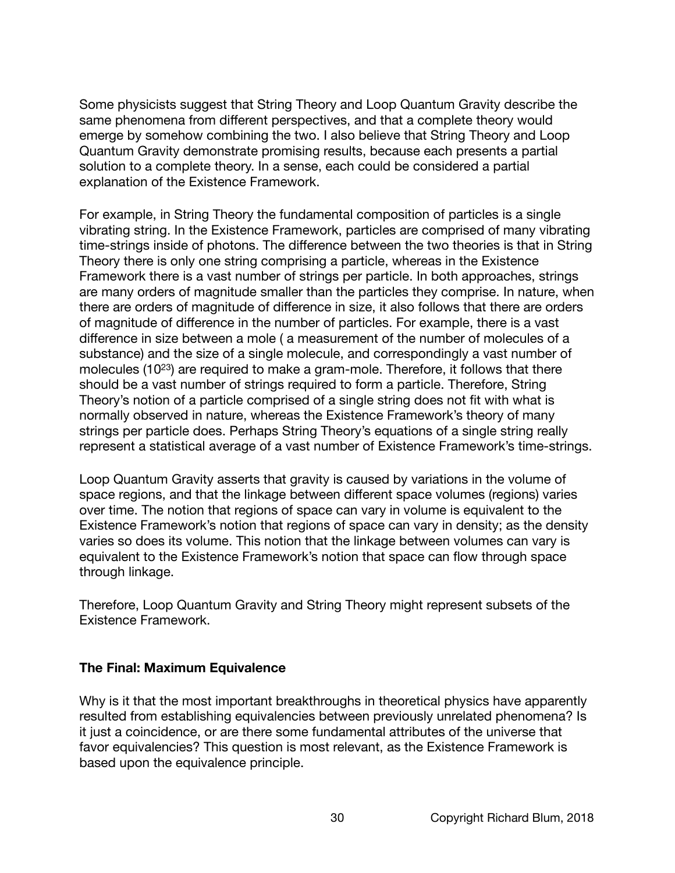Some physicists suggest that String Theory and Loop Quantum Gravity describe the same phenomena from different perspectives, and that a complete theory would emerge by somehow combining the two. I also believe that String Theory and Loop Quantum Gravity demonstrate promising results, because each presents a partial solution to a complete theory. In a sense, each could be considered a partial explanation of the Existence Framework.

For example, in String Theory the fundamental composition of particles is a single vibrating string. In the Existence Framework, particles are comprised of many vibrating time-strings inside of photons. The difference between the two theories is that in String Theory there is only one string comprising a particle, whereas in the Existence Framework there is a vast number of strings per particle. In both approaches, strings are many orders of magnitude smaller than the particles they comprise. In nature, when there are orders of magnitude of difference in size, it also follows that there are orders of magnitude of difference in the number of particles. For example, there is a vast difference in size between a mole ( a measurement of the number of molecules of a substance) and the size of a single molecule, and correspondingly a vast number of molecules (1023) are required to make a gram-mole. Therefore, it follows that there should be a vast number of strings required to form a particle. Therefore, String Theory's notion of a particle comprised of a single string does not fit with what is normally observed in nature, whereas the Existence Framework's theory of many strings per particle does. Perhaps String Theory's equations of a single string really represent a statistical average of a vast number of Existence Framework's time-strings.

Loop Quantum Gravity asserts that gravity is caused by variations in the volume of space regions, and that the linkage between different space volumes (regions) varies over time. The notion that regions of space can vary in volume is equivalent to the Existence Framework's notion that regions of space can vary in density; as the density varies so does its volume. This notion that the linkage between volumes can vary is equivalent to the Existence Framework's notion that space can flow through space through linkage.

Therefore, Loop Quantum Gravity and String Theory might represent subsets of the Existence Framework.

#### **The Final: Maximum Equivalence**

Why is it that the most important breakthroughs in theoretical physics have apparently resulted from establishing equivalencies between previously unrelated phenomena? Is it just a coincidence, or are there some fundamental attributes of the universe that favor equivalencies? This question is most relevant, as the Existence Framework is based upon the equivalence principle.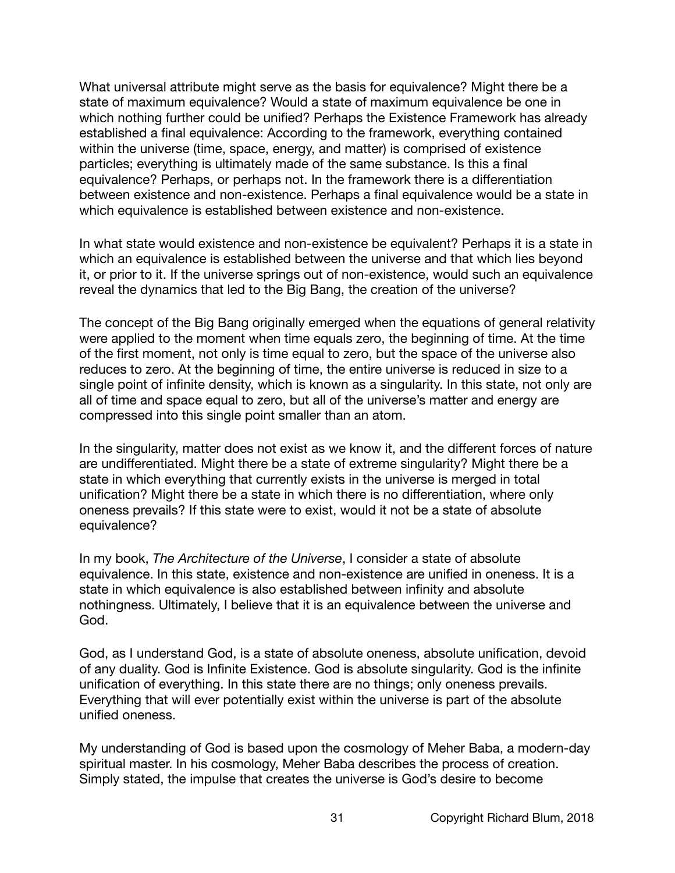What universal attribute might serve as the basis for equivalence? Might there be a state of maximum equivalence? Would a state of maximum equivalence be one in which nothing further could be unified? Perhaps the Existence Framework has already established a final equivalence: According to the framework, everything contained within the universe (time, space, energy, and matter) is comprised of existence particles; everything is ultimately made of the same substance. Is this a final equivalence? Perhaps, or perhaps not. In the framework there is a differentiation between existence and non-existence. Perhaps a final equivalence would be a state in which equivalence is established between existence and non-existence.

In what state would existence and non-existence be equivalent? Perhaps it is a state in which an equivalence is established between the universe and that which lies beyond it, or prior to it. If the universe springs out of non-existence, would such an equivalence reveal the dynamics that led to the Big Bang, the creation of the universe?

The concept of the Big Bang originally emerged when the equations of general relativity were applied to the moment when time equals zero, the beginning of time. At the time of the first moment, not only is time equal to zero, but the space of the universe also reduces to zero. At the beginning of time, the entire universe is reduced in size to a single point of infinite density, which is known as a singularity. In this state, not only are all of time and space equal to zero, but all of the universe's matter and energy are compressed into this single point smaller than an atom.

In the singularity, matter does not exist as we know it, and the different forces of nature are undifferentiated. Might there be a state of extreme singularity? Might there be a state in which everything that currently exists in the universe is merged in total unification? Might there be a state in which there is no differentiation, where only oneness prevails? If this state were to exist, would it not be a state of absolute equivalence?

In my book, *The Architecture of the Universe*, I consider a state of absolute equivalence. In this state, existence and non-existence are unified in oneness. It is a state in which equivalence is also established between infinity and absolute nothingness. Ultimately, I believe that it is an equivalence between the universe and God.

God, as I understand God, is a state of absolute oneness, absolute unification, devoid of any duality. God is Infinite Existence. God is absolute singularity. God is the infinite unification of everything. In this state there are no things; only oneness prevails. Everything that will ever potentially exist within the universe is part of the absolute unified oneness.

My understanding of God is based upon the cosmology of Meher Baba, a modern-day spiritual master. In his cosmology, Meher Baba describes the process of creation. Simply stated, the impulse that creates the universe is God's desire to become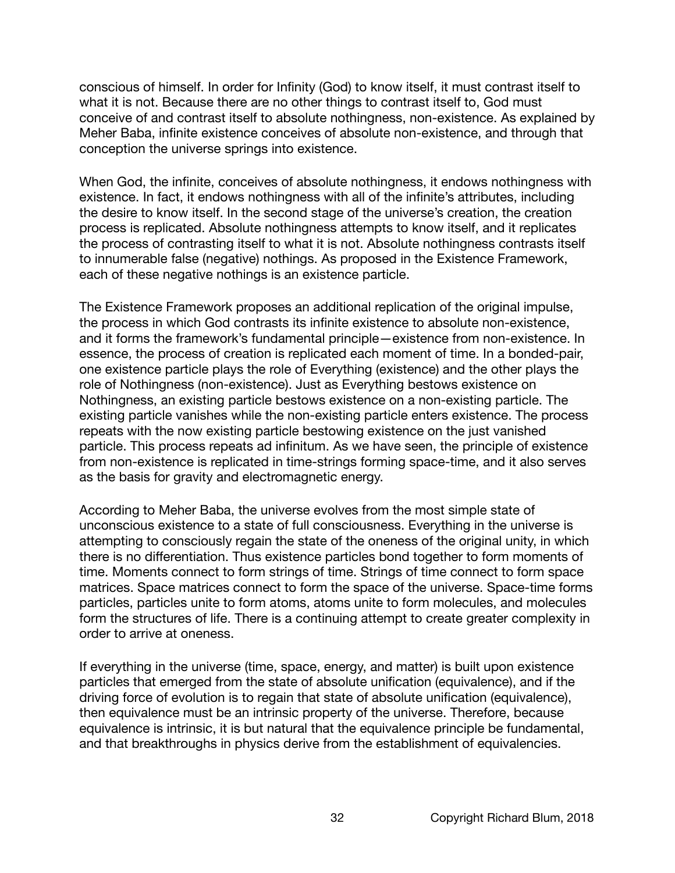conscious of himself. In order for Infinity (God) to know itself, it must contrast itself to what it is not. Because there are no other things to contrast itself to, God must conceive of and contrast itself to absolute nothingness, non-existence. As explained by Meher Baba, infinite existence conceives of absolute non-existence, and through that conception the universe springs into existence.

When God, the infinite, conceives of absolute nothingness, it endows nothingness with existence. In fact, it endows nothingness with all of the infinite's attributes, including the desire to know itself. In the second stage of the universe's creation, the creation process is replicated. Absolute nothingness attempts to know itself, and it replicates the process of contrasting itself to what it is not. Absolute nothingness contrasts itself to innumerable false (negative) nothings. As proposed in the Existence Framework, each of these negative nothings is an existence particle.

The Existence Framework proposes an additional replication of the original impulse, the process in which God contrasts its infinite existence to absolute non-existence, and it forms the framework's fundamental principle—existence from non-existence. In essence, the process of creation is replicated each moment of time. In a bonded-pair, one existence particle plays the role of Everything (existence) and the other plays the role of Nothingness (non-existence). Just as Everything bestows existence on Nothingness, an existing particle bestows existence on a non-existing particle. The existing particle vanishes while the non-existing particle enters existence. The process repeats with the now existing particle bestowing existence on the just vanished particle. This process repeats ad infinitum. As we have seen, the principle of existence from non-existence is replicated in time-strings forming space-time, and it also serves as the basis for gravity and electromagnetic energy.

According to Meher Baba, the universe evolves from the most simple state of unconscious existence to a state of full consciousness. Everything in the universe is attempting to consciously regain the state of the oneness of the original unity, in which there is no differentiation. Thus existence particles bond together to form moments of time. Moments connect to form strings of time. Strings of time connect to form space matrices. Space matrices connect to form the space of the universe. Space-time forms particles, particles unite to form atoms, atoms unite to form molecules, and molecules form the structures of life. There is a continuing attempt to create greater complexity in order to arrive at oneness.

If everything in the universe (time, space, energy, and matter) is built upon existence particles that emerged from the state of absolute unification (equivalence), and if the driving force of evolution is to regain that state of absolute unification (equivalence), then equivalence must be an intrinsic property of the universe. Therefore, because equivalence is intrinsic, it is but natural that the equivalence principle be fundamental, and that breakthroughs in physics derive from the establishment of equivalencies.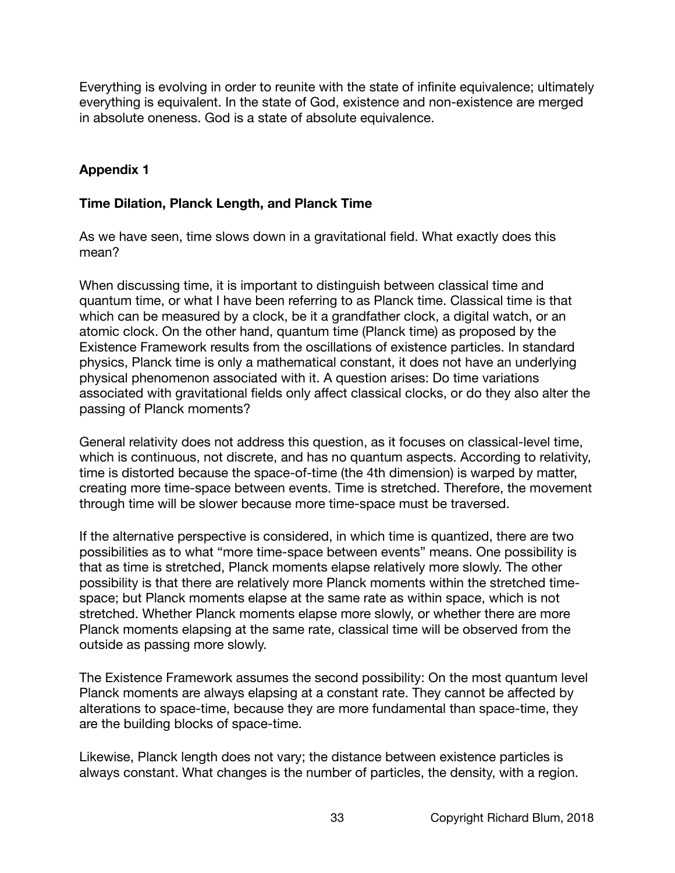Everything is evolving in order to reunite with the state of infinite equivalence; ultimately everything is equivalent. In the state of God, existence and non-existence are merged in absolute oneness. God is a state of absolute equivalence.

# **Appendix 1**

## **Time Dilation, Planck Length, and Planck Time**

As we have seen, time slows down in a gravitational field. What exactly does this mean?

When discussing time, it is important to distinguish between classical time and quantum time, or what I have been referring to as Planck time. Classical time is that which can be measured by a clock, be it a grandfather clock, a digital watch, or an atomic clock. On the other hand, quantum time (Planck time) as proposed by the Existence Framework results from the oscillations of existence particles. In standard physics, Planck time is only a mathematical constant, it does not have an underlying physical phenomenon associated with it. A question arises: Do time variations associated with gravitational fields only affect classical clocks, or do they also alter the passing of Planck moments?

General relativity does not address this question, as it focuses on classical-level time, which is continuous, not discrete, and has no quantum aspects. According to relativity, time is distorted because the space-of-time (the 4th dimension) is warped by matter, creating more time-space between events. Time is stretched. Therefore, the movement through time will be slower because more time-space must be traversed.

If the alternative perspective is considered, in which time is quantized, there are two possibilities as to what "more time-space between events" means. One possibility is that as time is stretched, Planck moments elapse relatively more slowly. The other possibility is that there are relatively more Planck moments within the stretched timespace; but Planck moments elapse at the same rate as within space, which is not stretched. Whether Planck moments elapse more slowly, or whether there are more Planck moments elapsing at the same rate, classical time will be observed from the outside as passing more slowly.

The Existence Framework assumes the second possibility: On the most quantum level Planck moments are always elapsing at a constant rate. They cannot be affected by alterations to space-time, because they are more fundamental than space-time, they are the building blocks of space-time.

Likewise, Planck length does not vary; the distance between existence particles is always constant. What changes is the number of particles, the density, with a region.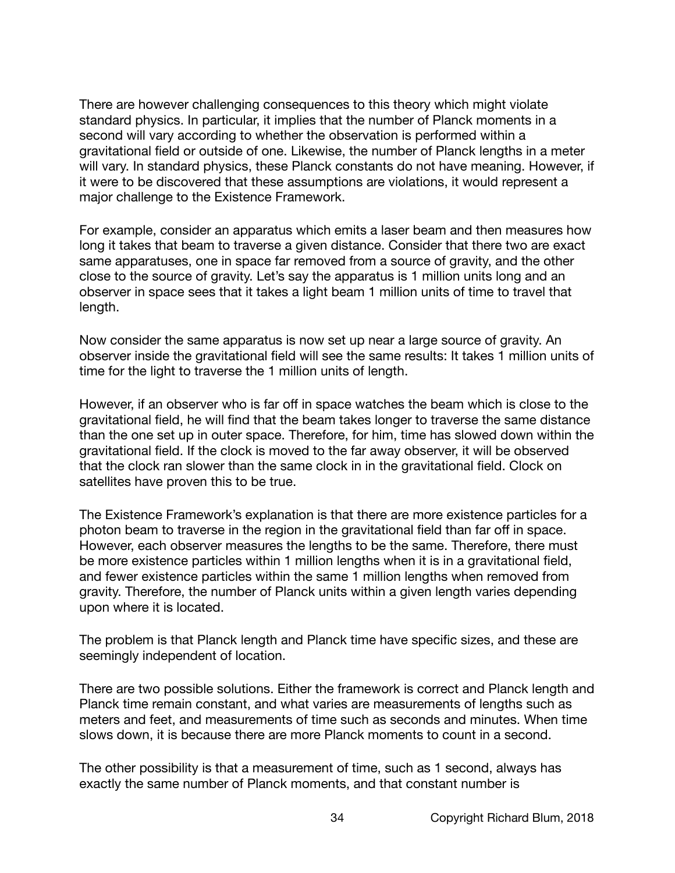There are however challenging consequences to this theory which might violate standard physics. In particular, it implies that the number of Planck moments in a second will vary according to whether the observation is performed within a gravitational field or outside of one. Likewise, the number of Planck lengths in a meter will vary. In standard physics, these Planck constants do not have meaning. However, if it were to be discovered that these assumptions are violations, it would represent a major challenge to the Existence Framework.

For example, consider an apparatus which emits a laser beam and then measures how long it takes that beam to traverse a given distance. Consider that there two are exact same apparatuses, one in space far removed from a source of gravity, and the other close to the source of gravity. Let's say the apparatus is 1 million units long and an observer in space sees that it takes a light beam 1 million units of time to travel that length.

Now consider the same apparatus is now set up near a large source of gravity. An observer inside the gravitational field will see the same results: It takes 1 million units of time for the light to traverse the 1 million units of length.

However, if an observer who is far off in space watches the beam which is close to the gravitational field, he will find that the beam takes longer to traverse the same distance than the one set up in outer space. Therefore, for him, time has slowed down within the gravitational field. If the clock is moved to the far away observer, it will be observed that the clock ran slower than the same clock in in the gravitational field. Clock on satellites have proven this to be true.

The Existence Framework's explanation is that there are more existence particles for a photon beam to traverse in the region in the gravitational field than far off in space. However, each observer measures the lengths to be the same. Therefore, there must be more existence particles within 1 million lengths when it is in a gravitational field, and fewer existence particles within the same 1 million lengths when removed from gravity. Therefore, the number of Planck units within a given length varies depending upon where it is located.

The problem is that Planck length and Planck time have specific sizes, and these are seemingly independent of location.

There are two possible solutions. Either the framework is correct and Planck length and Planck time remain constant, and what varies are measurements of lengths such as meters and feet, and measurements of time such as seconds and minutes. When time slows down, it is because there are more Planck moments to count in a second.

The other possibility is that a measurement of time, such as 1 second, always has exactly the same number of Planck moments, and that constant number is